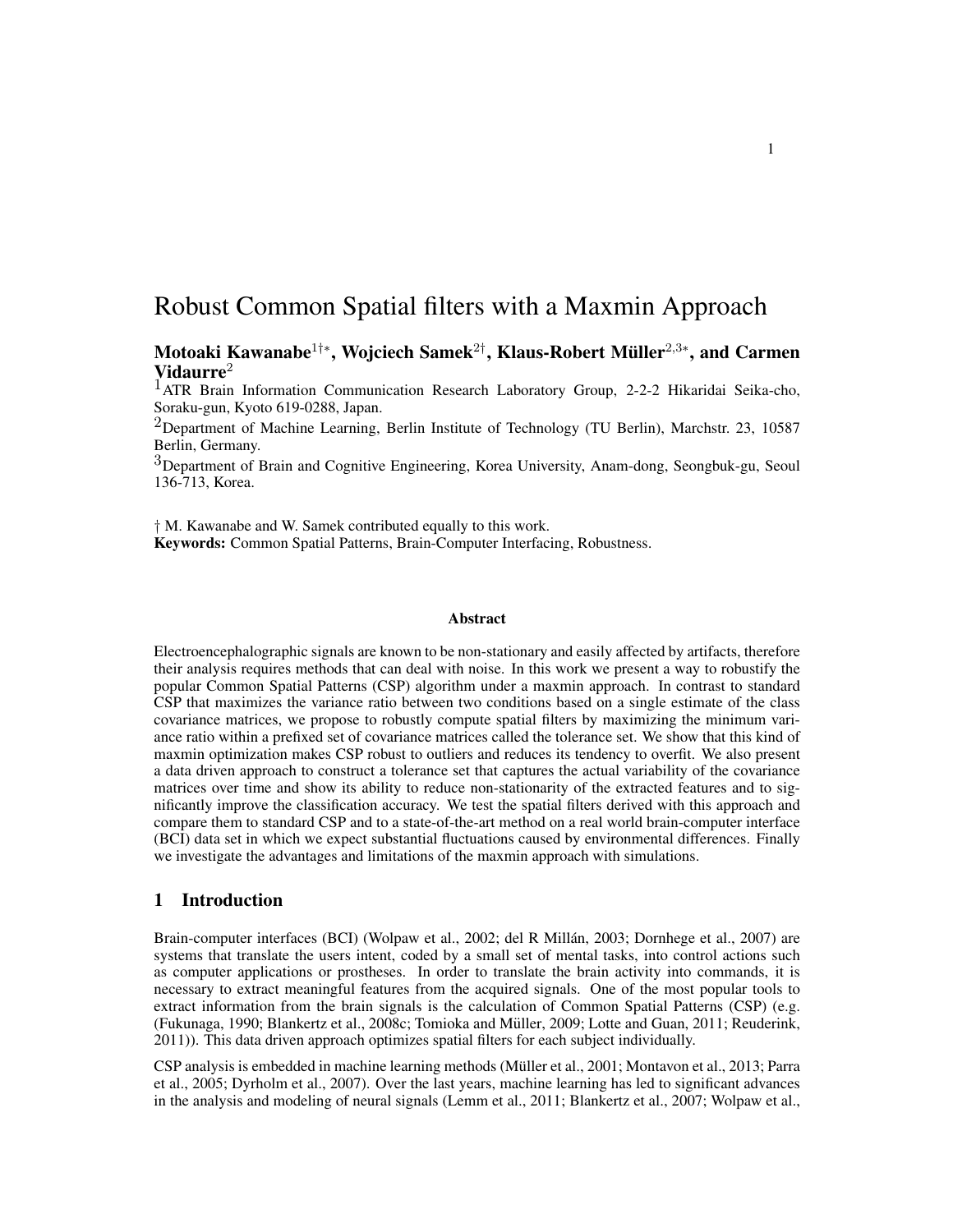# Robust Common Spatial filters with a Maxmin Approach

Motoaki Kawanabe $^{1+\ast},$  Wojciech Samek $^{2\dagger},$  Klaus-Robert Müller $^{2,3\ast},$  and Carmen Vidaurre $^2$ 

<sup>1</sup>ATR Brain Information Communication Research Laboratory Group, 2-2-2 Hikaridai Seika-cho, Soraku-gun, Kyoto 619-0288, Japan.

<sup>2</sup>Department of Machine Learning, Berlin Institute of Technology (TU Berlin), Marchstr. 23, 10587 Berlin, Germany.

3Department of Brain and Cognitive Engineering, Korea University, Anam-dong, Seongbuk-gu, Seoul 136-713, Korea.

† M. Kawanabe and W. Samek contributed equally to this work. Keywords: Common Spatial Patterns, Brain-Computer Interfacing, Robustness.

#### Abstract

Electroencephalographic signals are known to be non-stationary and easily affected by artifacts, therefore their analysis requires methods that can deal with noise. In this work we present a way to robustify the popular Common Spatial Patterns (CSP) algorithm under a maxmin approach. In contrast to standard CSP that maximizes the variance ratio between two conditions based on a single estimate of the class covariance matrices, we propose to robustly compute spatial filters by maximizing the minimum variance ratio within a prefixed set of covariance matrices called the tolerance set. We show that this kind of maxmin optimization makes CSP robust to outliers and reduces its tendency to overfit. We also present a data driven approach to construct a tolerance set that captures the actual variability of the covariance matrices over time and show its ability to reduce non-stationarity of the extracted features and to significantly improve the classification accuracy. We test the spatial filters derived with this approach and compare them to standard CSP and to a state-of-the-art method on a real world brain-computer interface (BCI) data set in which we expect substantial fluctuations caused by environmental differences. Finally we investigate the advantages and limitations of the maxmin approach with simulations.

# 1 Introduction

Brain-computer interfaces (BCI) (Wolpaw et al., 2002; del R Millán, 2003; Dornhege et al., 2007) are systems that translate the users intent, coded by a small set of mental tasks, into control actions such as computer applications or prostheses. In order to translate the brain activity into commands, it is necessary to extract meaningful features from the acquired signals. One of the most popular tools to extract information from the brain signals is the calculation of Common Spatial Patterns (CSP) (e.g. (Fukunaga, 1990; Blankertz et al., 2008c; Tomioka and Muller, 2009; Lotte and Guan, 2011; Reuderink, ¨ 2011)). This data driven approach optimizes spatial filters for each subject individually.

CSP analysis is embedded in machine learning methods (Muller et al., 2001; Montavon et al., 2013; Parra ¨ et al., 2005; Dyrholm et al., 2007). Over the last years, machine learning has led to significant advances in the analysis and modeling of neural signals (Lemm et al., 2011; Blankertz et al., 2007; Wolpaw et al.,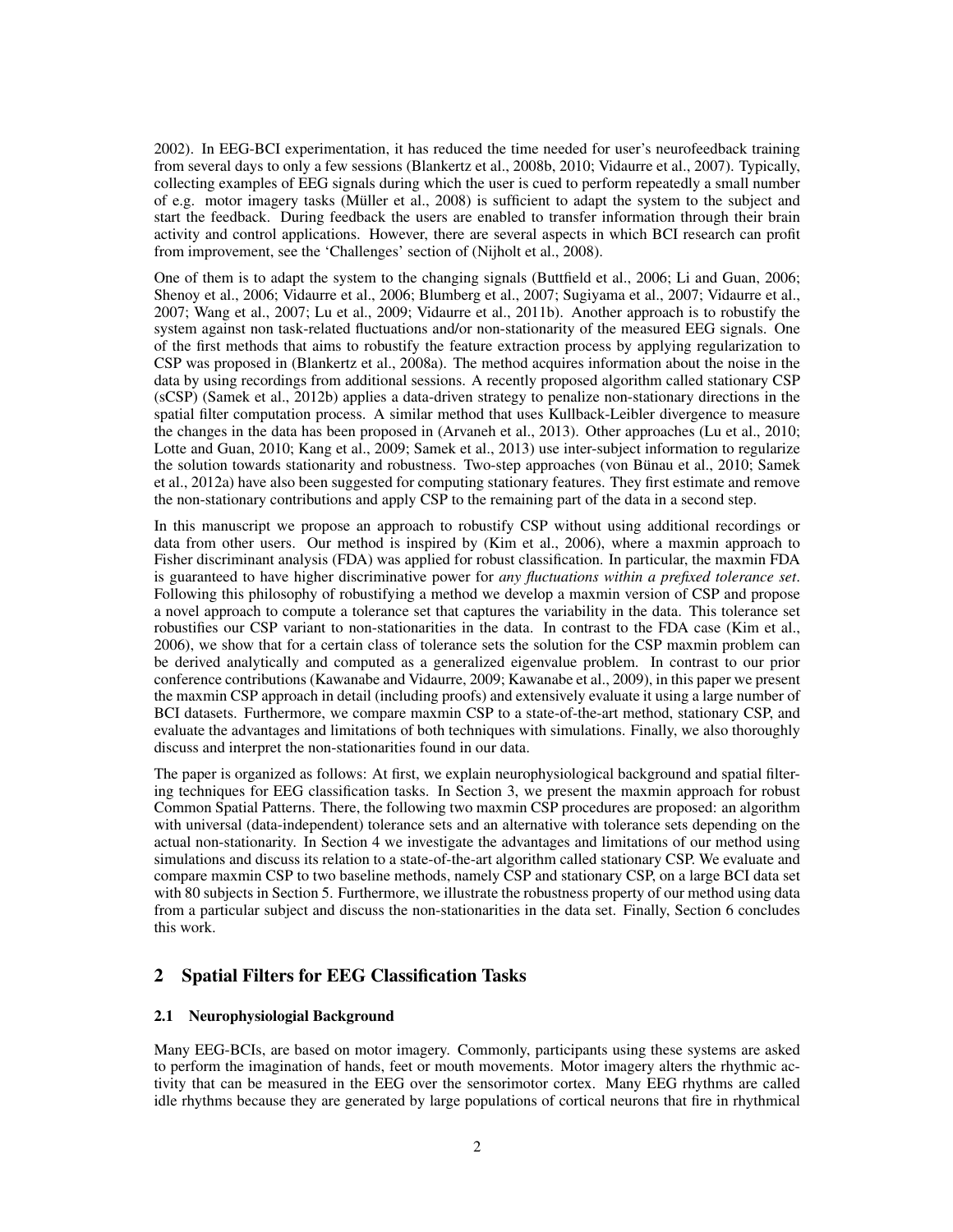2002). In EEG-BCI experimentation, it has reduced the time needed for user's neurofeedback training from several days to only a few sessions (Blankertz et al., 2008b, 2010; Vidaurre et al., 2007). Typically, collecting examples of EEG signals during which the user is cued to perform repeatedly a small number of e.g. motor imagery tasks (Muller et al., 2008) is sufficient to adapt the system to the subject and ¨ start the feedback. During feedback the users are enabled to transfer information through their brain activity and control applications. However, there are several aspects in which BCI research can profit from improvement, see the 'Challenges' section of (Nijholt et al., 2008).

One of them is to adapt the system to the changing signals (Buttfield et al., 2006; Li and Guan, 2006; Shenoy et al., 2006; Vidaurre et al., 2006; Blumberg et al., 2007; Sugiyama et al., 2007; Vidaurre et al., 2007; Wang et al., 2007; Lu et al., 2009; Vidaurre et al., 2011b). Another approach is to robustify the system against non task-related fluctuations and/or non-stationarity of the measured EEG signals. One of the first methods that aims to robustify the feature extraction process by applying regularization to CSP was proposed in (Blankertz et al., 2008a). The method acquires information about the noise in the data by using recordings from additional sessions. A recently proposed algorithm called stationary CSP (sCSP) (Samek et al., 2012b) applies a data-driven strategy to penalize non-stationary directions in the spatial filter computation process. A similar method that uses Kullback-Leibler divergence to measure the changes in the data has been proposed in (Arvaneh et al., 2013). Other approaches (Lu et al., 2010; Lotte and Guan, 2010; Kang et al., 2009; Samek et al., 2013) use inter-subject information to regularize the solution towards stationarity and robustness. Two-step approaches (von Bünau et al., 2010; Samek et al., 2012a) have also been suggested for computing stationary features. They first estimate and remove the non-stationary contributions and apply CSP to the remaining part of the data in a second step.

In this manuscript we propose an approach to robustify CSP without using additional recordings or data from other users. Our method is inspired by (Kim et al., 2006), where a maxmin approach to Fisher discriminant analysis (FDA) was applied for robust classification. In particular, the maxmin FDA is guaranteed to have higher discriminative power for *any fluctuations within a prefixed tolerance set*. Following this philosophy of robustifying a method we develop a maxmin version of CSP and propose a novel approach to compute a tolerance set that captures the variability in the data. This tolerance set robustifies our CSP variant to non-stationarities in the data. In contrast to the FDA case (Kim et al., 2006), we show that for a certain class of tolerance sets the solution for the CSP maxmin problem can be derived analytically and computed as a generalized eigenvalue problem. In contrast to our prior conference contributions (Kawanabe and Vidaurre, 2009; Kawanabe et al., 2009), in this paper we present the maxmin CSP approach in detail (including proofs) and extensively evaluate it using a large number of BCI datasets. Furthermore, we compare maxmin CSP to a state-of-the-art method, stationary CSP, and evaluate the advantages and limitations of both techniques with simulations. Finally, we also thoroughly discuss and interpret the non-stationarities found in our data.

The paper is organized as follows: At first, we explain neurophysiological background and spatial filtering techniques for EEG classification tasks. In Section 3, we present the maxmin approach for robust Common Spatial Patterns. There, the following two maxmin CSP procedures are proposed: an algorithm with universal (data-independent) tolerance sets and an alternative with tolerance sets depending on the actual non-stationarity. In Section 4 we investigate the advantages and limitations of our method using simulations and discuss its relation to a state-of-the-art algorithm called stationary CSP. We evaluate and compare maxmin CSP to two baseline methods, namely CSP and stationary CSP, on a large BCI data set with 80 subjects in Section 5. Furthermore, we illustrate the robustness property of our method using data from a particular subject and discuss the non-stationarities in the data set. Finally, Section 6 concludes this work.

# 2 Spatial Filters for EEG Classification Tasks

### 2.1 Neurophysiologial Background

Many EEG-BCIs, are based on motor imagery. Commonly, participants using these systems are asked to perform the imagination of hands, feet or mouth movements. Motor imagery alters the rhythmic activity that can be measured in the EEG over the sensorimotor cortex. Many EEG rhythms are called idle rhythms because they are generated by large populations of cortical neurons that fire in rhythmical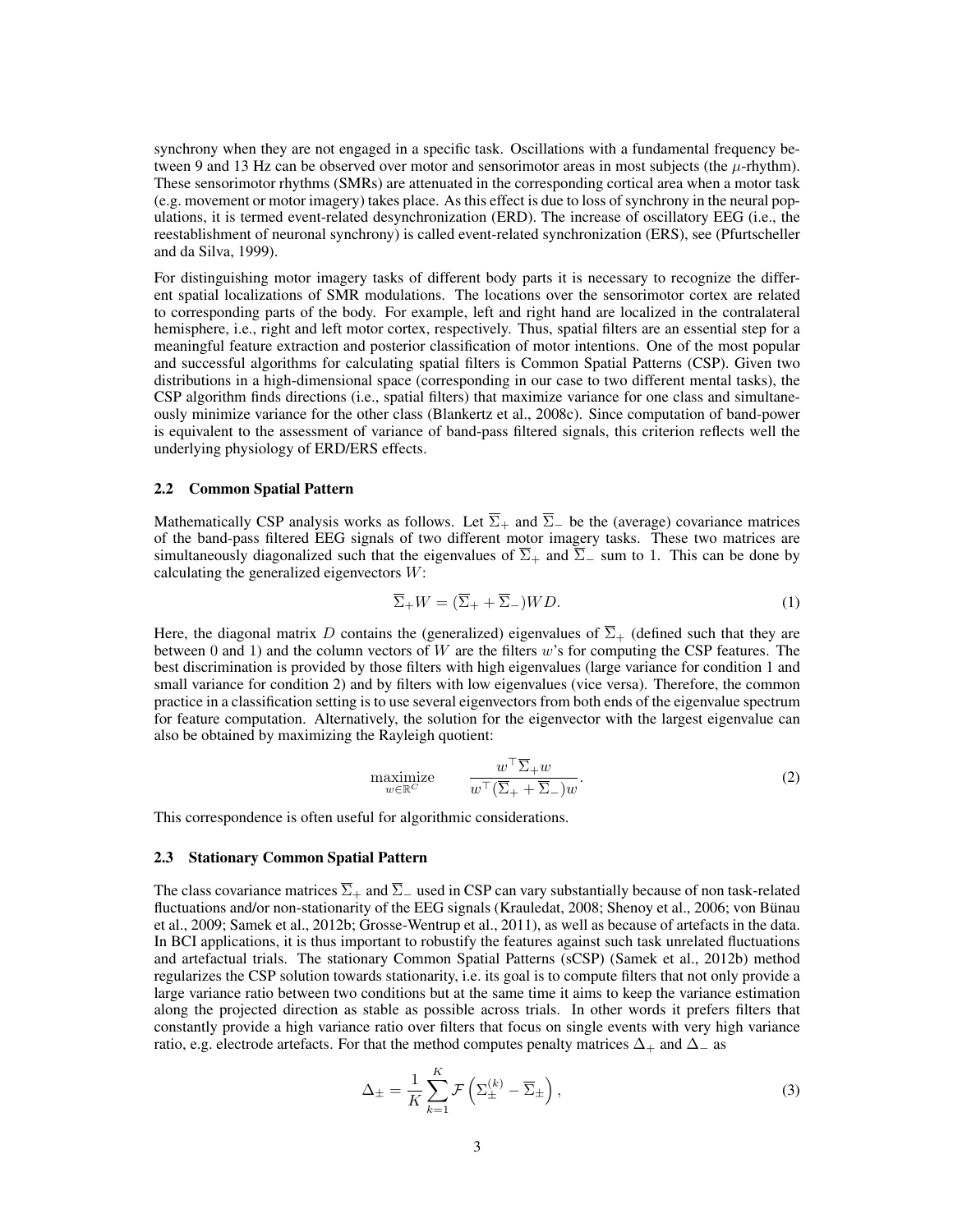synchrony when they are not engaged in a specific task. Oscillations with a fundamental frequency between 9 and 13 Hz can be observed over motor and sensorimotor areas in most subjects (the  $\mu$ -rhythm). These sensorimotor rhythms (SMRs) are attenuated in the corresponding cortical area when a motor task (e.g. movement or motor imagery) takes place. As this effect is due to loss of synchrony in the neural populations, it is termed event-related desynchronization (ERD). The increase of oscillatory EEG (i.e., the reestablishment of neuronal synchrony) is called event-related synchronization (ERS), see (Pfurtscheller and da Silva, 1999).

For distinguishing motor imagery tasks of different body parts it is necessary to recognize the different spatial localizations of SMR modulations. The locations over the sensorimotor cortex are related to corresponding parts of the body. For example, left and right hand are localized in the contralateral hemisphere, i.e., right and left motor cortex, respectively. Thus, spatial filters are an essential step for a meaningful feature extraction and posterior classification of motor intentions. One of the most popular and successful algorithms for calculating spatial filters is Common Spatial Patterns (CSP). Given two distributions in a high-dimensional space (corresponding in our case to two different mental tasks), the CSP algorithm finds directions (i.e., spatial filters) that maximize variance for one class and simultaneously minimize variance for the other class (Blankertz et al., 2008c). Since computation of band-power is equivalent to the assessment of variance of band-pass filtered signals, this criterion reflects well the underlying physiology of ERD/ERS effects.

#### 2.2 Common Spatial Pattern

Mathematically CSP analysis works as follows. Let  $\overline{\Sigma}_+$  and  $\overline{\Sigma}_-$  be the (average) covariance matrices of the band-pass filtered EEG signals of two different motor imagery tasks. These two matrices are simultaneously diagonalized such that the eigenvalues of  $\overline{\Sigma}_+$  and  $\overline{\Sigma}_-$  sum to 1. This can be done by calculating the generalized eigenvectors W:

$$
\overline{\Sigma}_+ W = (\overline{\Sigma}_+ + \overline{\Sigma}_-) WD. \tag{1}
$$

Here, the diagonal matrix D contains the (generalized) eigenvalues of  $\overline{\Sigma}_{+}$  (defined such that they are between 0 and 1) and the column vectors of W are the filters w's for computing the CSP features. The best discrimination is provided by those filters with high eigenvalues (large variance for condition 1 and small variance for condition 2) and by filters with low eigenvalues (vice versa). Therefore, the common practice in a classification setting is to use several eigenvectors from both ends of the eigenvalue spectrum for feature computation. Alternatively, the solution for the eigenvector with the largest eigenvalue can also be obtained by maximizing the Rayleigh quotient:

$$
\begin{array}{ll}\text{maximize} & w^{\top} \overline{\Sigma}_{+} w\\ w^{\top} (\overline{\Sigma}_{+} + \overline{\Sigma}_{-}) w \end{array} \tag{2}
$$

This correspondence is often useful for algorithmic considerations.

#### 2.3 Stationary Common Spatial Pattern

The class covariance matrices  $\overline{\Sigma}_+$  and  $\overline{\Sigma}_-$  used in CSP can vary substantially because of non task-related fluctuations and/or non-stationarity of the EEG signals (Krauledat, 2008; Shenoy et al., 2006; von Bünau et al., 2009; Samek et al., 2012b; Grosse-Wentrup et al., 2011), as well as because of artefacts in the data. In BCI applications, it is thus important to robustify the features against such task unrelated fluctuations and artefactual trials. The stationary Common Spatial Patterns (sCSP) (Samek et al., 2012b) method regularizes the CSP solution towards stationarity, i.e. its goal is to compute filters that not only provide a large variance ratio between two conditions but at the same time it aims to keep the variance estimation along the projected direction as stable as possible across trials. In other words it prefers filters that constantly provide a high variance ratio over filters that focus on single events with very high variance ratio, e.g. electrode artefacts. For that the method computes penalty matrices  $\Delta_+$  and  $\Delta_-$  as

$$
\Delta_{\pm} = \frac{1}{K} \sum_{k=1}^{K} \mathcal{F} \left( \Sigma_{\pm}^{(k)} - \overline{\Sigma}_{\pm} \right), \tag{3}
$$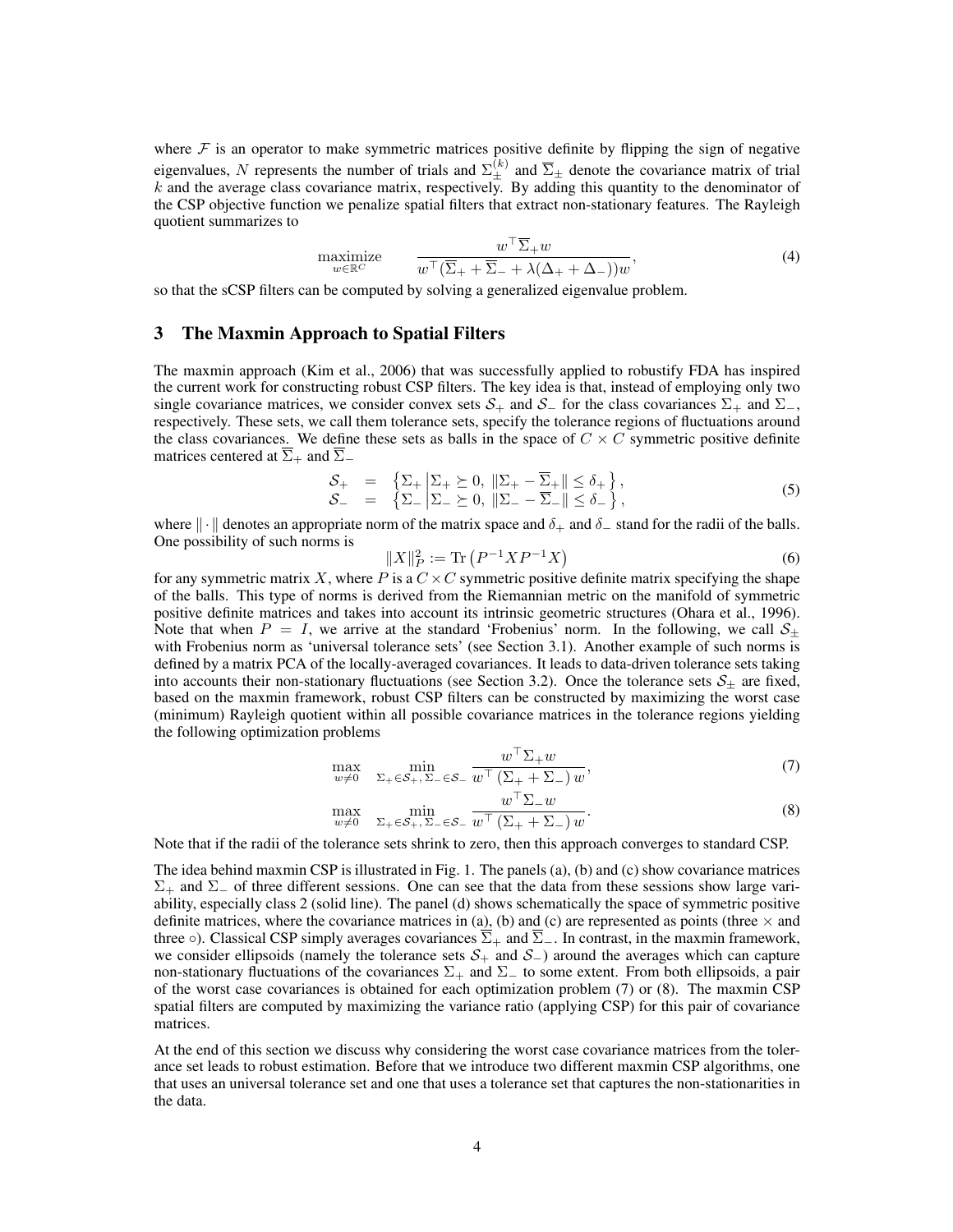where  $F$  is an operator to make symmetric matrices positive definite by flipping the sign of negative eigenvalues, N represents the number of trials and  $\Sigma_{\pm}^{(k)}$  and  $\overline{\Sigma}_{\pm}$  denote the covariance matrix of trial  $k$  and the average class covariance matrix, respectively. By adding this quantity to the denominator of the CSP objective function we penalize spatial filters that extract non-stationary features. The Rayleigh quotient summarizes to

$$
\underset{w \in \mathbb{R}^C}{\text{maximize}} \qquad \frac{w^\top \overline{\Sigma}_+ w}{w^\top (\overline{\Sigma}_+ + \overline{\Sigma}_- + \lambda(\Delta_+ + \Delta_-))w},\tag{4}
$$

so that the sCSP filters can be computed by solving a generalized eigenvalue problem.

# 3 The Maxmin Approach to Spatial Filters

The maxmin approach (Kim et al., 2006) that was successfully applied to robustify FDA has inspired the current work for constructing robust CSP filters. The key idea is that, instead of employing only two single covariance matrices, we consider convex sets  $S_+$  and  $S_-$  for the class covariances  $\Sigma_+$  and  $\Sigma_-$ , respectively. These sets, we call them tolerance sets, specify the tolerance regions of fluctuations around the class covariances. We define these sets as balls in the space of  $C \times C$  symmetric positive definite matrices centered at  $\overline{\Sigma}_+$  and  $\overline{\Sigma}_-$ 

$$
\begin{array}{rcl}\n\mathcal{S}_{+} & = & \left\{ \Sigma_{+} \middle| \Sigma_{+} \succeq 0, \parallel \Sigma_{+} - \overline{\Sigma}_{+} \parallel \leq \delta_{+} \right\}, \\
\mathcal{S}_{-} & = & \left\{ \Sigma_{-} \middle| \Sigma_{-} \succeq 0, \parallel \Sigma_{-} - \overline{\Sigma}_{-} \parallel \leq \delta_{-} \right\},\n\end{array} \tag{5}
$$

where  $\|\cdot\|$  denotes an appropriate norm of the matrix space and  $\delta_+$  and  $\delta_-$  stand for the radii of the balls. One possibility of such norms is

$$
||X||_P^2 := \text{Tr}\left(P^{-1}XP^{-1}X\right) \tag{6}
$$

for any symmetric matrix X, where P is a  $C \times C$  symmetric positive definite matrix specifying the shape of the balls. This type of norms is derived from the Riemannian metric on the manifold of symmetric positive definite matrices and takes into account its intrinsic geometric structures (Ohara et al., 1996). Note that when  $P = I$ , we arrive at the standard 'Frobenius' norm. In the following, we call  $S_{\pm}$ with Frobenius norm as 'universal tolerance sets' (see Section 3.1). Another example of such norms is defined by a matrix PCA of the locally-averaged covariances. It leads to data-driven tolerance sets taking into accounts their non-stationary fluctuations (see Section 3.2). Once the tolerance sets  $S_{\pm}$  are fixed, based on the maxmin framework, robust CSP filters can be constructed by maximizing the worst case (minimum) Rayleigh quotient within all possible covariance matrices in the tolerance regions yielding the following optimization problems

$$
\max_{w \neq 0} \quad \min_{\Sigma_+ \in \mathcal{S}_+, \Sigma_- \in \mathcal{S}_-} \frac{w^\top \Sigma_+ w}{w^\top \left(\Sigma_+ + \Sigma_- \right) w},\tag{7}
$$

$$
\max_{w \neq 0} \quad \min_{\Sigma_+ \in \mathcal{S}_+, \Sigma_- \in \mathcal{S}_-} \frac{w^\top \Sigma_- w}{w^\top (\Sigma_+ + \Sigma_-) w}.\tag{8}
$$

Note that if the radii of the tolerance sets shrink to zero, then this approach converges to standard CSP.

The idea behind maxmin CSP is illustrated in Fig. 1. The panels (a), (b) and (c) show covariance matrices  $\Sigma_+$  and  $\Sigma_-$  of three different sessions. One can see that the data from these sessions show large variability, especially class 2 (solid line). The panel (d) shows schematically the space of symmetric positive definite matrices, where the covariance matrices in (a), (b) and (c) are represented as points (three  $\times$  and three  $\circ$ ). Classical CSP simply averages covariances  $\overline{\Sigma}_+$  and  $\overline{\Sigma}_-$ . In contrast, in the maxmin framework, we consider ellipsoids (namely the tolerance sets  $S_+$  and  $S_-$ ) around the averages which can capture non-stationary fluctuations of the covariances  $\Sigma_+$  and  $\Sigma_-$  to some extent. From both ellipsoids, a pair of the worst case covariances is obtained for each optimization problem (7) or (8). The maxmin CSP spatial filters are computed by maximizing the variance ratio (applying CSP) for this pair of covariance matrices.

At the end of this section we discuss why considering the worst case covariance matrices from the tolerance set leads to robust estimation. Before that we introduce two different maxmin CSP algorithms, one that uses an universal tolerance set and one that uses a tolerance set that captures the non-stationarities in the data.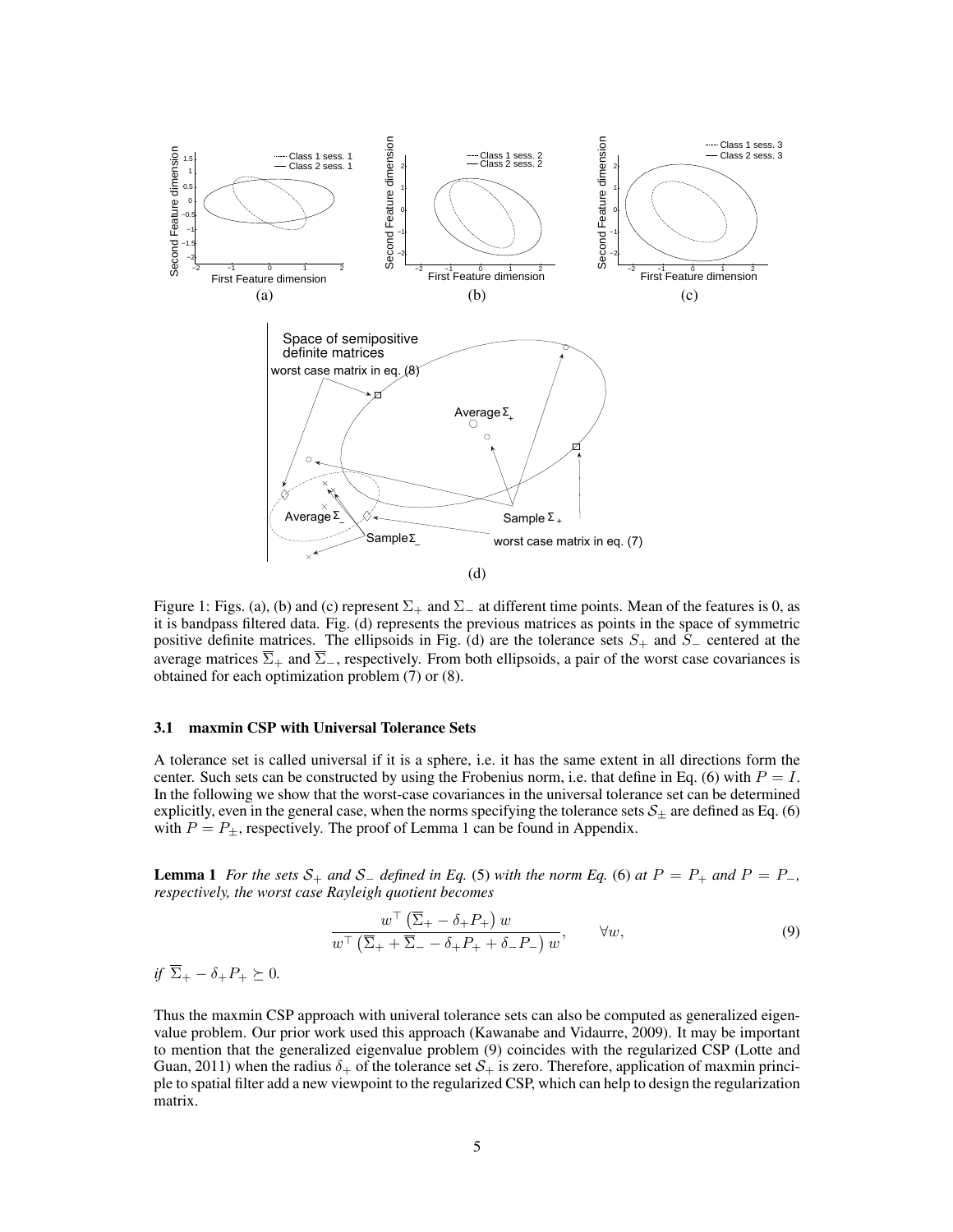

Figure 1: Figs. (a), (b) and (c) represent  $\Sigma_+$  and  $\Sigma_-$  at different time points. Mean of the features is 0, as it is bandpass filtered data. Fig. (d) represents the previous matrices as points in the space of symmetric positive definite matrices. The ellipsoids in Fig. (d) are the tolerance sets  $S_+$  and  $S_-$  centered at the average matrices  $\overline{\Sigma}_+$  and  $\overline{\Sigma}_-$ , respectively. From both ellipsoids, a pair of the worst case covariances is obtained for each optimization problem (7) or (8).

# 3.1 maxmin CSP with Universal Tolerance Sets

A tolerance set is called universal if it is a sphere, i.e. it has the same extent in all directions form the center. Such sets can be constructed by using the Frobenius norm, i.e. that define in Eq. (6) with  $P = I$ . In the following we show that the worst-case covariances in the universal tolerance set can be determined explicitly, even in the general case, when the norms specifying the tolerance sets  $S_{\pm}$  are defined as Eq. (6) with  $P = P_{\pm}$ , respectively. The proof of Lemma 1 can be found in Appendix.

**Lemma 1** *For the sets*  $S_+$  *and*  $S_$  *- defined in Eq.* (5) *with the norm Eq.* (6) *at*  $P = P_+$  *and*  $P = P_−$ *, respectively, the worst case Rayleigh quotient becomes*

$$
\frac{w^{\top} (\overline{\Sigma}_{+} - \delta_{+} P_{+}) w}{w^{\top} (\overline{\Sigma}_{+} + \overline{\Sigma}_{-} - \delta_{+} P_{+} + \delta_{-} P_{-}) w}, \qquad \forall w,
$$
\n(9)

*if*  $\overline{\Sigma}_+ - \delta_+ P_+ \succeq 0$ .

Thus the maxmin CSP approach with univeral tolerance sets can also be computed as generalized eigenvalue problem. Our prior work used this approach (Kawanabe and Vidaurre, 2009). It may be important to mention that the generalized eigenvalue problem (9) coincides with the regularized CSP (Lotte and Guan, 2011) when the radius  $\delta_+$  of the tolerance set  $S_+$  is zero. Therefore, application of maxmin principle to spatial filter add a new viewpoint to the regularized CSP, which can help to design the regularization matrix.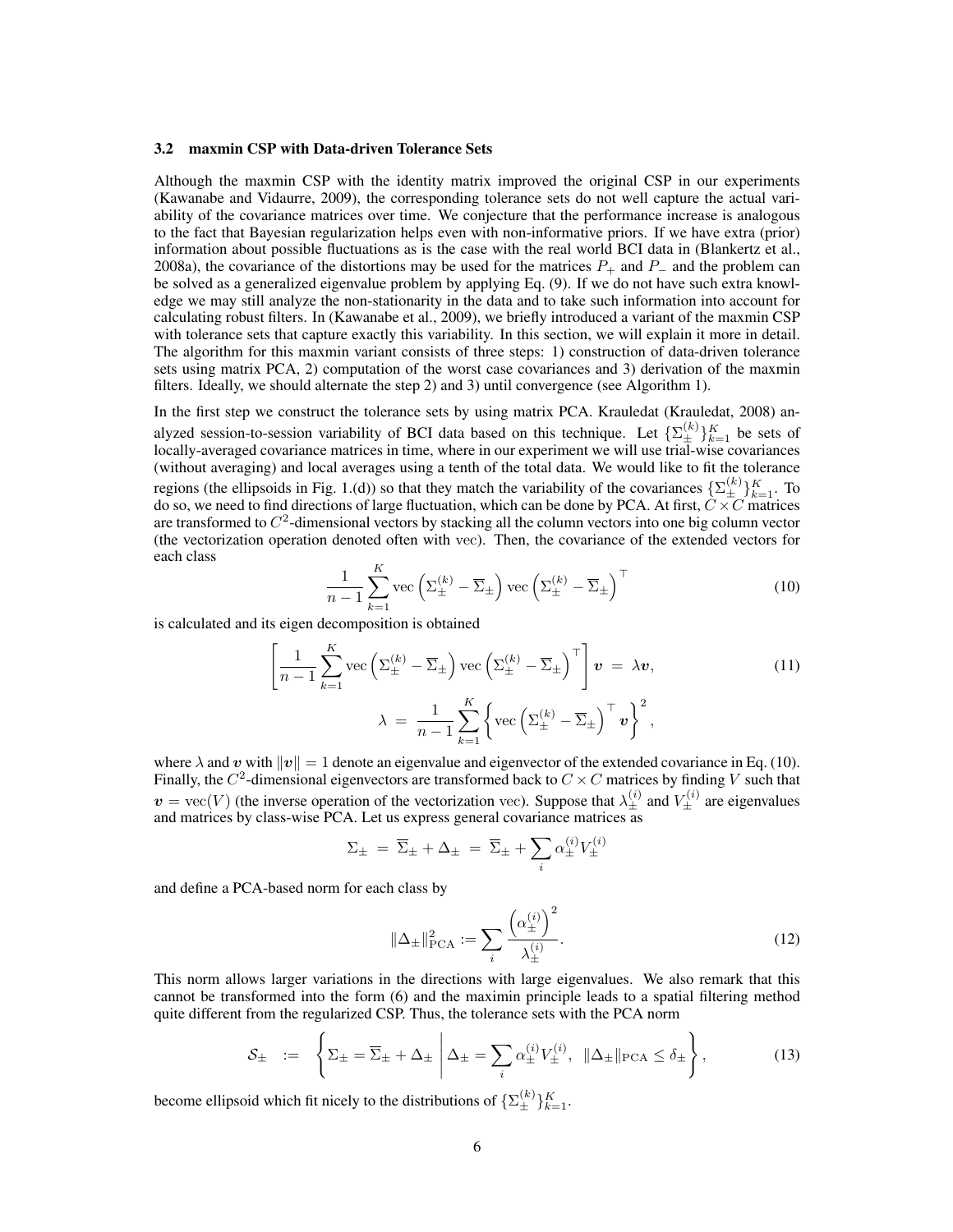#### 3.2 maxmin CSP with Data-driven Tolerance Sets

Although the maxmin CSP with the identity matrix improved the original CSP in our experiments (Kawanabe and Vidaurre, 2009), the corresponding tolerance sets do not well capture the actual variability of the covariance matrices over time. We conjecture that the performance increase is analogous to the fact that Bayesian regularization helps even with non-informative priors. If we have extra (prior) information about possible fluctuations as is the case with the real world BCI data in (Blankertz et al., 2008a), the covariance of the distortions may be used for the matrices  $P_+$  and  $P_-$  and the problem can be solved as a generalized eigenvalue problem by applying Eq. (9). If we do not have such extra knowledge we may still analyze the non-stationarity in the data and to take such information into account for calculating robust filters. In (Kawanabe et al., 2009), we briefly introduced a variant of the maxmin CSP with tolerance sets that capture exactly this variability. In this section, we will explain it more in detail. The algorithm for this maxmin variant consists of three steps: 1) construction of data-driven tolerance sets using matrix PCA, 2) computation of the worst case covariances and 3) derivation of the maxmin filters. Ideally, we should alternate the step 2) and 3) until convergence (see Algorithm 1).

In the first step we construct the tolerance sets by using matrix PCA. Krauledat (Krauledat, 2008) analyzed session-to-session variability of BCI data based on this technique. Let  $\{\Sigma_{\pm}^{(k)}\}_{k=1}^K$  be sets of locally-averaged covariance matrices in time, where in our experiment we will use trial-wise covariances (without averaging) and local averages using a tenth of the total data. We would like to fit the tolerance regions (the ellipsoids in Fig. 1.(d)) so that they match the variability of the covariances  $\{\sum_{\pm}^{(k)}\}_{k=1}^{K}$ . To do so, we need to find directions of large fluctuation, which can be done by PCA. At first,  $\ddot{C} \times \ddot{C}$  matrices are transformed to  $C^2$ -dimensional vectors by stacking all the column vectors into one big column vector (the vectorization operation denoted often with vec). Then, the covariance of the extended vectors for each class

$$
\frac{1}{n-1} \sum_{k=1}^{K} \text{vec} \left( \Sigma_{\pm}^{(k)} - \overline{\Sigma}_{\pm} \right) \text{vec} \left( \Sigma_{\pm}^{(k)} - \overline{\Sigma}_{\pm} \right)^{\top} \tag{10}
$$

is calculated and its eigen decomposition is obtained

$$
\left[\frac{1}{n-1}\sum_{k=1}^{K}\text{vec}\left(\Sigma_{\pm}^{(k)}-\overline{\Sigma}_{\pm}\right)\text{vec}\left(\Sigma_{\pm}^{(k)}-\overline{\Sigma}_{\pm}\right)^{\top}\right]\boldsymbol{v} = \lambda\boldsymbol{v},\tag{11}
$$
\n
$$
\lambda = \frac{1}{n-1}\sum_{k=1}^{K}\left\{\text{vec}\left(\Sigma_{\pm}^{(k)}-\overline{\Sigma}_{\pm}\right)^{\top}\boldsymbol{v}\right\}^{2},
$$

where  $\lambda$  and v with  $\|\mathbf{v}\| = 1$  denote an eigenvalue and eigenvector of the extended covariance in Eq. (10). Finally, the  $C^2$ -dimensional eigenvectors are transformed back to  $C \times C$  matrices by finding V such that  $v = \text{vec}(V)$  (the inverse operation of the vectorization vec). Suppose that  $\lambda_{\pm}^{(i)}$  and  $V_{\pm}^{(i)}$  are eigenvalues and matrices by class-wise PCA. Let us express general covariance matrices as

$$
\Sigma_{\pm}\;=\;\overline{\Sigma}_{\pm}+\Delta_{\pm}\;=\;\overline{\Sigma}_{\pm}+\sum_i\alpha^{(i)}_{\pm}V^{(i)}_{\pm}
$$

and define a PCA-based norm for each class by

$$
\|\Delta_{\pm}\|_{\text{PCA}}^2 := \sum_{i} \frac{\left(\alpha_{\pm}^{(i)}\right)^2}{\lambda_{\pm}^{(i)}}.
$$
 (12)

This norm allows larger variations in the directions with large eigenvalues. We also remark that this cannot be transformed into the form (6) and the maximin principle leads to a spatial filtering method quite different from the regularized CSP. Thus, the tolerance sets with the PCA norm

$$
\mathcal{S}_{\pm} := \left\{ \Sigma_{\pm} = \overline{\Sigma}_{\pm} + \Delta_{\pm} \, \middle| \, \Delta_{\pm} = \sum_{i} \alpha_{\pm}^{(i)} V_{\pm}^{(i)}, \, \|\Delta_{\pm}\|_{\text{PCA}} \le \delta_{\pm} \right\},\tag{13}
$$

become ellipsoid which fit nicely to the distributions of  $\{\Sigma_{\pm}^{(k)}\}_{k=1}^K$ .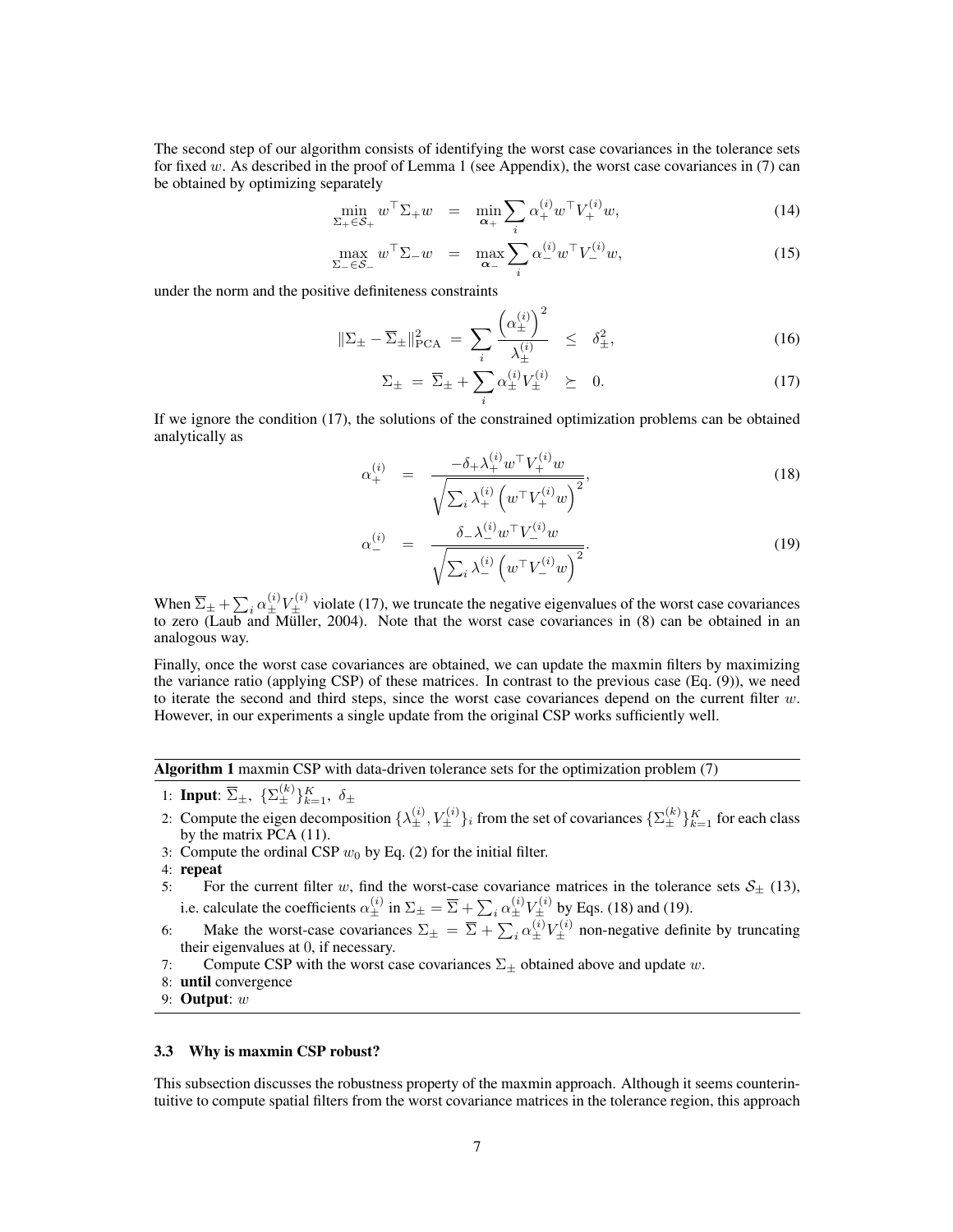The second step of our algorithm consists of identifying the worst case covariances in the tolerance sets for fixed w. As described in the proof of Lemma 1 (see Appendix), the worst case covariances in (7) can be obtained by optimizing separately

$$
\min_{\Sigma_{+} \in \mathcal{S}_{+}} w^{\top} \Sigma_{+} w = \min_{\alpha_{+}} \sum_{i} \alpha_{+}^{(i)} w^{\top} V_{+}^{(i)} w, \tag{14}
$$

$$
\max_{\Sigma_- \in \mathcal{S}_-} w^\top \Sigma_- w = \max_{\alpha_-} \sum_i \alpha_-^{(i)} w^\top V_-^{(i)} w,\tag{15}
$$

under the norm and the positive definiteness constraints

$$
\|\Sigma_{\pm} - \overline{\Sigma}_{\pm}\|_{\text{PCA}}^2 = \sum_{i} \frac{\left(\alpha_{\pm}^{(i)}\right)^2}{\lambda_{\pm}^{(i)}} \le \delta_{\pm}^2,\tag{16}
$$

$$
\Sigma_{\pm} = \overline{\Sigma}_{\pm} + \sum_{i} \alpha_{\pm}^{(i)} V_{\pm}^{(i)} \geq 0. \tag{17}
$$

If we ignore the condition (17), the solutions of the constrained optimization problems can be obtained analytically as

$$
\alpha_{+}^{(i)} = \frac{-\delta_{+} \lambda_{+}^{(i)} w^{\top} V_{+}^{(i)} w}{\sqrt{\sum_{i} \lambda_{+}^{(i)} \left( w^{\top} V_{+}^{(i)} w \right)^{2}}},\tag{18}
$$

$$
\alpha_{-}^{(i)} = \frac{\delta_{-}\lambda_{-}^{(i)}w^{\top}V_{-}^{(i)}w}{\sqrt{\sum_{i}\lambda_{-}^{(i)}\left(w^{\top}V_{-}^{(i)}w\right)^{2}}}.
$$
\n(19)

When  $\overline{\Sigma}_{\pm} + \sum_{i} \alpha_{\pm}^{(i)} V_{\pm}^{(i)}$  violate (17), we truncate the negative eigenvalues of the worst case covariances to zero (Laub and Müller, 2004). Note that the worst case covariances in (8) can be obtained in an analogous way.

Finally, once the worst case covariances are obtained, we can update the maxmin filters by maximizing the variance ratio (applying CSP) of these matrices. In contrast to the previous case (Eq. (9)), we need to iterate the second and third steps, since the worst case covariances depend on the current filter  $w$ . However, in our experiments a single update from the original CSP works sufficiently well.

Algorithm 1 maxmin CSP with data-driven tolerance sets for the optimization problem (7)

- 1: Input:  $\overline{\Sigma}_{\pm}$ ,  $\{\Sigma_{\pm}^{(k)}\}_{k=1}^K$ ,  $\delta_{\pm}$
- 2: Compute the eigen decomposition  $\{\lambda_{\pm}^{(i)}, V_{\pm}^{(i)}\}_i$  from the set of covariances  $\{\Sigma_{\pm}^{(k)}\}_{k=1}^K$  for each class by the matrix PCA (11).
- 3: Compute the ordinal CSP  $w_0$  by Eq. (2) for the initial filter.
- 4: repeat
- 5: For the current filter w, find the worst-case covariance matrices in the tolerance sets  $S_{\pm}$  (13), i.e. calculate the coefficients  $\alpha_{\pm}^{(i)}$  in  $\Sigma_{\pm} = \overline{\Sigma} + \sum_i \alpha_{\pm}^{(i)} V_{\pm}^{(i)}$  by Eqs. (18) and (19).
- 6: Make the worst-case covariances  $\Sigma_{\pm} = \overline{\Sigma} + \sum_i \alpha_{\pm}^{(i)} V_{\pm}^{(i)}$  non-negative definite by truncating their eigenvalues at 0, if necessary.
- 7: Compute CSP with the worst case covariances  $\Sigma_{\pm}$  obtained above and update w.
- 8: until convergence
- 9: Output: w

### 3.3 Why is maxmin CSP robust?

This subsection discusses the robustness property of the maxmin approach. Although it seems counterintuitive to compute spatial filters from the worst covariance matrices in the tolerance region, this approach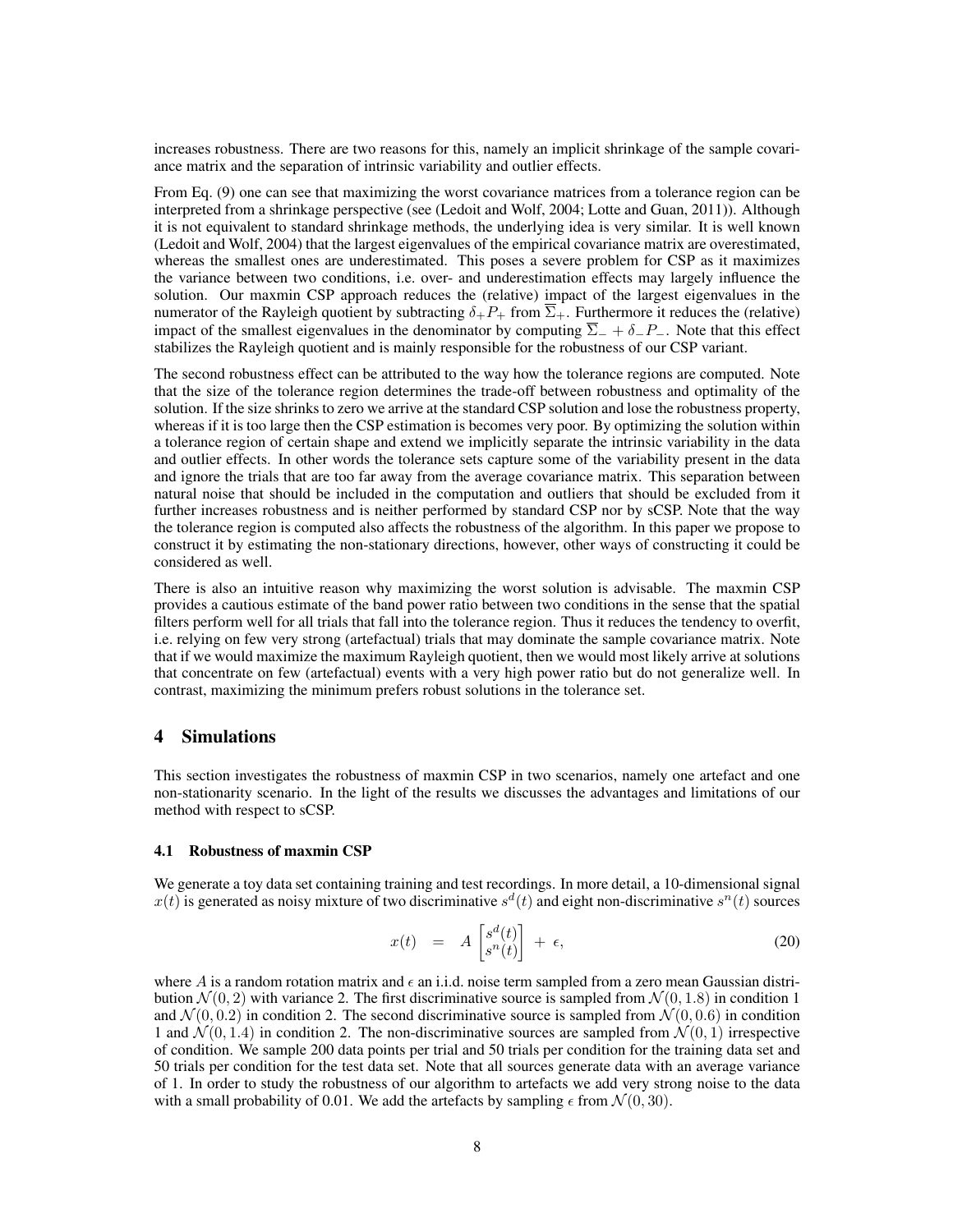increases robustness. There are two reasons for this, namely an implicit shrinkage of the sample covariance matrix and the separation of intrinsic variability and outlier effects.

From Eq. (9) one can see that maximizing the worst covariance matrices from a tolerance region can be interpreted from a shrinkage perspective (see (Ledoit and Wolf, 2004; Lotte and Guan, 2011)). Although it is not equivalent to standard shrinkage methods, the underlying idea is very similar. It is well known (Ledoit and Wolf, 2004) that the largest eigenvalues of the empirical covariance matrix are overestimated, whereas the smallest ones are underestimated. This poses a severe problem for CSP as it maximizes the variance between two conditions, i.e. over- and underestimation effects may largely influence the solution. Our maxmin CSP approach reduces the (relative) impact of the largest eigenvalues in the numerator of the Rayleigh quotient by subtracting  $\delta_+P_+$  from  $\Sigma_+$ . Furthermore it reduces the (relative) impact of the smallest eigenvalues in the denominator by computing  $\overline{\Sigma}$  +  $\delta$ -P−. Note that this effect stabilizes the Rayleigh quotient and is mainly responsible for the robustness of our CSP variant.

The second robustness effect can be attributed to the way how the tolerance regions are computed. Note that the size of the tolerance region determines the trade-off between robustness and optimality of the solution. If the size shrinks to zero we arrive at the standard CSP solution and lose the robustness property, whereas if it is too large then the CSP estimation is becomes very poor. By optimizing the solution within a tolerance region of certain shape and extend we implicitly separate the intrinsic variability in the data and outlier effects. In other words the tolerance sets capture some of the variability present in the data and ignore the trials that are too far away from the average covariance matrix. This separation between natural noise that should be included in the computation and outliers that should be excluded from it further increases robustness and is neither performed by standard CSP nor by sCSP. Note that the way the tolerance region is computed also affects the robustness of the algorithm. In this paper we propose to construct it by estimating the non-stationary directions, however, other ways of constructing it could be considered as well.

There is also an intuitive reason why maximizing the worst solution is advisable. The maxmin CSP provides a cautious estimate of the band power ratio between two conditions in the sense that the spatial filters perform well for all trials that fall into the tolerance region. Thus it reduces the tendency to overfit, i.e. relying on few very strong (artefactual) trials that may dominate the sample covariance matrix. Note that if we would maximize the maximum Rayleigh quotient, then we would most likely arrive at solutions that concentrate on few (artefactual) events with a very high power ratio but do not generalize well. In contrast, maximizing the minimum prefers robust solutions in the tolerance set.

## 4 Simulations

This section investigates the robustness of maxmin CSP in two scenarios, namely one artefact and one non-stationarity scenario. In the light of the results we discusses the advantages and limitations of our method with respect to sCSP.

#### 4.1 Robustness of maxmin CSP

We generate a toy data set containing training and test recordings. In more detail, a 10-dimensional signal  $x(t)$  is generated as noisy mixture of two discriminative  $s^d(t)$  and eight non-discriminative  $s^n(t)$  sources

$$
x(t) = A \begin{bmatrix} s^d(t) \\ s^n(t) \end{bmatrix} + \epsilon,
$$
\n(20)

where A is a random rotation matrix and  $\epsilon$  an i.i.d. noise term sampled from a zero mean Gaussian distribution  $\mathcal{N}(0, 2)$  with variance 2. The first discriminative source is sampled from  $\mathcal{N}(0, 1.8)$  in condition 1 and  $\mathcal{N}(0, 0.2)$  in condition 2. The second discriminative source is sampled from  $\mathcal{N}(0, 0.6)$  in condition 1 and  $\mathcal{N}(0, 1.4)$  in condition 2. The non-discriminative sources are sampled from  $\mathcal{N}(0, 1)$  irrespective of condition. We sample 200 data points per trial and 50 trials per condition for the training data set and 50 trials per condition for the test data set. Note that all sources generate data with an average variance of 1. In order to study the robustness of our algorithm to artefacts we add very strong noise to the data with a small probability of 0.01. We add the artefacts by sampling  $\epsilon$  from  $\mathcal{N}(0, 30)$ .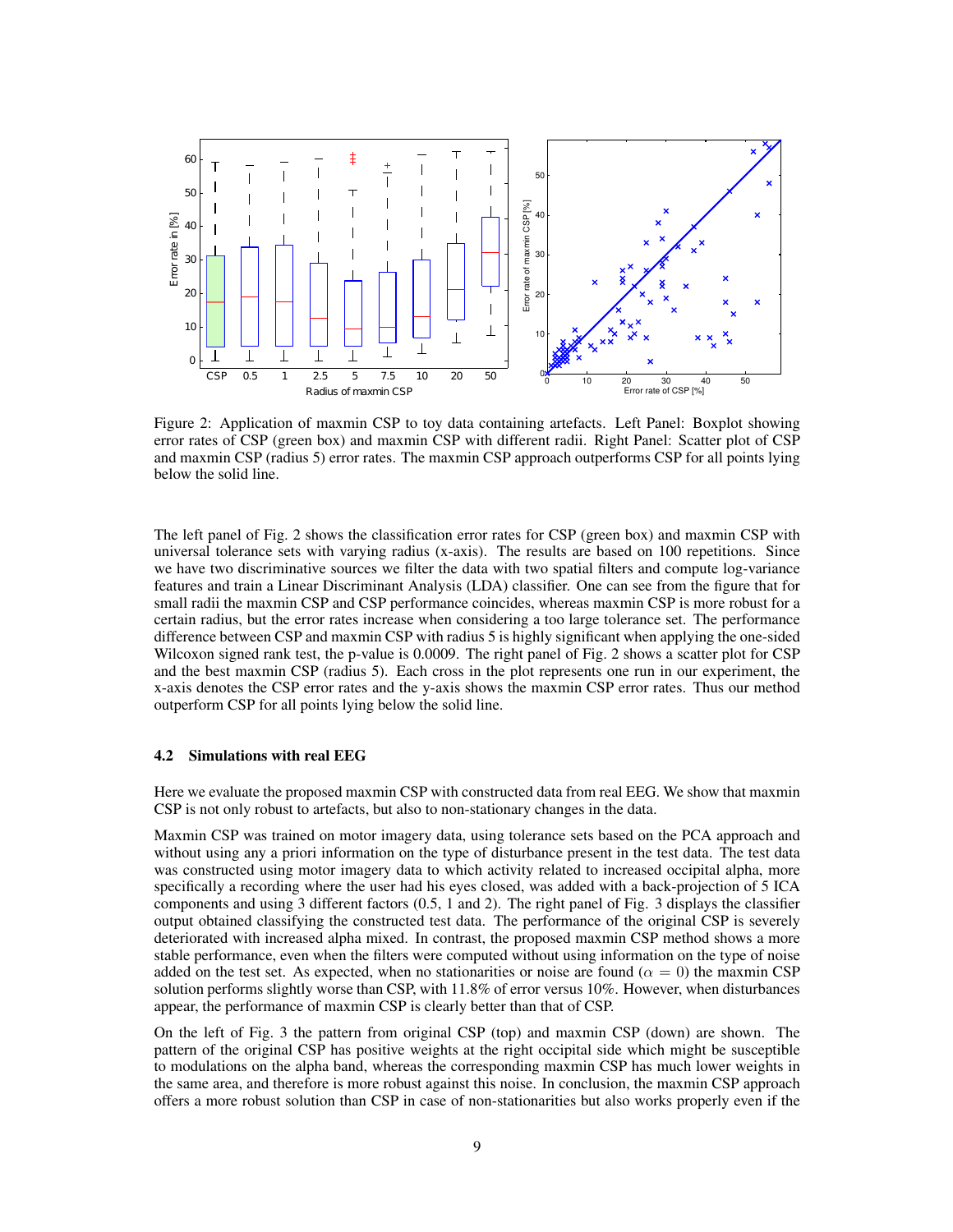

Figure 2: Application of maxmin CSP to toy data containing artefacts. Left Panel: Boxplot showing error rates of CSP (green box) and maxmin CSP with different radii. Right Panel: Scatter plot of CSP and maxmin CSP (radius 5) error rates. The maxmin CSP approach outperforms CSP for all points lying below the solid line.

The left panel of Fig. 2 shows the classification error rates for CSP (green box) and maxmin CSP with universal tolerance sets with varying radius (x-axis). The results are based on 100 repetitions. Since we have two discriminative sources we filter the data with two spatial filters and compute log-variance features and train a Linear Discriminant Analysis (LDA) classifier. One can see from the figure that for small radii the maxmin CSP and CSP performance coincides, whereas maxmin CSP is more robust for a certain radius, but the error rates increase when considering a too large tolerance set. The performance difference between CSP and maxmin CSP with radius 5 is highly significant when applying the one-sided Wilcoxon signed rank test, the p-value is 0.0009. The right panel of Fig. 2 shows a scatter plot for CSP and the best maxmin CSP (radius 5). Each cross in the plot represents one run in our experiment, the x-axis denotes the CSP error rates and the y-axis shows the maxmin CSP error rates. Thus our method outperform CSP for all points lying below the solid line.

#### 4.2 Simulations with real EEG

Here we evaluate the proposed maxmin CSP with constructed data from real EEG. We show that maxmin CSP is not only robust to artefacts, but also to non-stationary changes in the data.

Maxmin CSP was trained on motor imagery data, using tolerance sets based on the PCA approach and without using any a priori information on the type of disturbance present in the test data. The test data was constructed using motor imagery data to which activity related to increased occipital alpha, more specifically a recording where the user had his eyes closed, was added with a back-projection of 5 ICA components and using 3 different factors (0.5, 1 and 2). The right panel of Fig. 3 displays the classifier output obtained classifying the constructed test data. The performance of the original CSP is severely deteriorated with increased alpha mixed. In contrast, the proposed maxmin CSP method shows a more stable performance, even when the filters were computed without using information on the type of noise added on the test set. As expected, when no stationarities or noise are found ( $\alpha = 0$ ) the maxmin CSP solution performs slightly worse than CSP, with 11.8% of error versus 10%. However, when disturbances appear, the performance of maxmin CSP is clearly better than that of CSP.

On the left of Fig. 3 the pattern from original CSP (top) and maxmin CSP (down) are shown. The pattern of the original CSP has positive weights at the right occipital side which might be susceptible to modulations on the alpha band, whereas the corresponding maxmin CSP has much lower weights in the same area, and therefore is more robust against this noise. In conclusion, the maxmin CSP approach offers a more robust solution than CSP in case of non-stationarities but also works properly even if the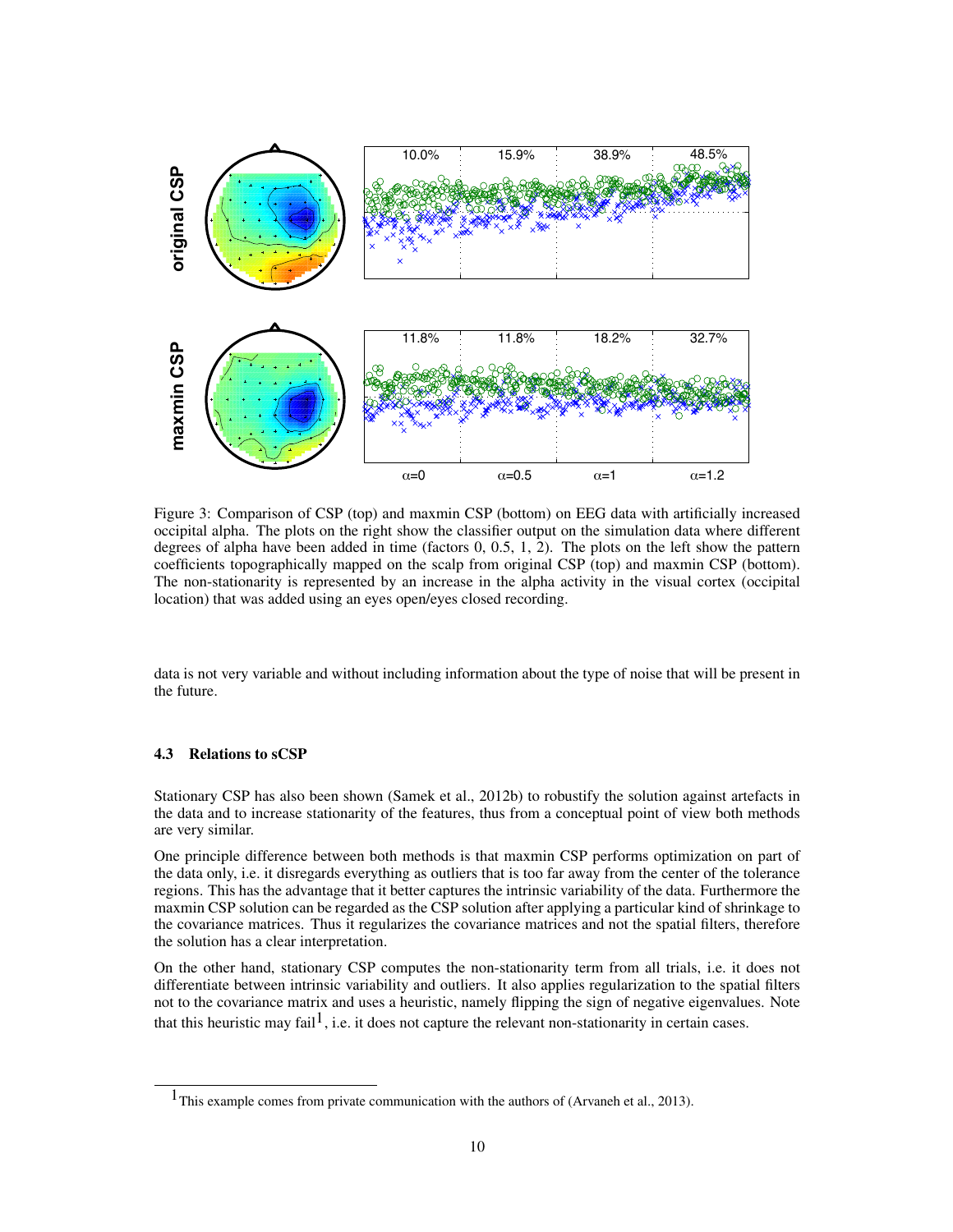

Figure 3: Comparison of CSP (top) and maxmin CSP (bottom) on EEG data with artificially increased occipital alpha. The plots on the right show the classifier output on the simulation data where different degrees of alpha have been added in time (factors 0, 0.5, 1, 2). The plots on the left show the pattern coefficients topographically mapped on the scalp from original CSP (top) and maxmin CSP (bottom). The non-stationarity is represented by an increase in the alpha activity in the visual cortex (occipital location) that was added using an eyes open/eyes closed recording.

data is not very variable and without including information about the type of noise that will be present in the future.

#### 4.3 Relations to sCSP

Stationary CSP has also been shown (Samek et al., 2012b) to robustify the solution against artefacts in the data and to increase stationarity of the features, thus from a conceptual point of view both methods are very similar.

One principle difference between both methods is that maxmin CSP performs optimization on part of the data only, i.e. it disregards everything as outliers that is too far away from the center of the tolerance regions. This has the advantage that it better captures the intrinsic variability of the data. Furthermore the maxmin CSP solution can be regarded as the CSP solution after applying a particular kind of shrinkage to the covariance matrices. Thus it regularizes the covariance matrices and not the spatial filters, therefore the solution has a clear interpretation.

On the other hand, stationary CSP computes the non-stationarity term from all trials, i.e. it does not differentiate between intrinsic variability and outliers. It also applies regularization to the spatial filters not to the covariance matrix and uses a heuristic, namely flipping the sign of negative eigenvalues. Note that this heuristic may fail<sup>1</sup>, i.e. it does not capture the relevant non-stationarity in certain cases.

 $<sup>1</sup>$ This example comes from private communication with the authors of (Arvaneh et al., 2013).</sup>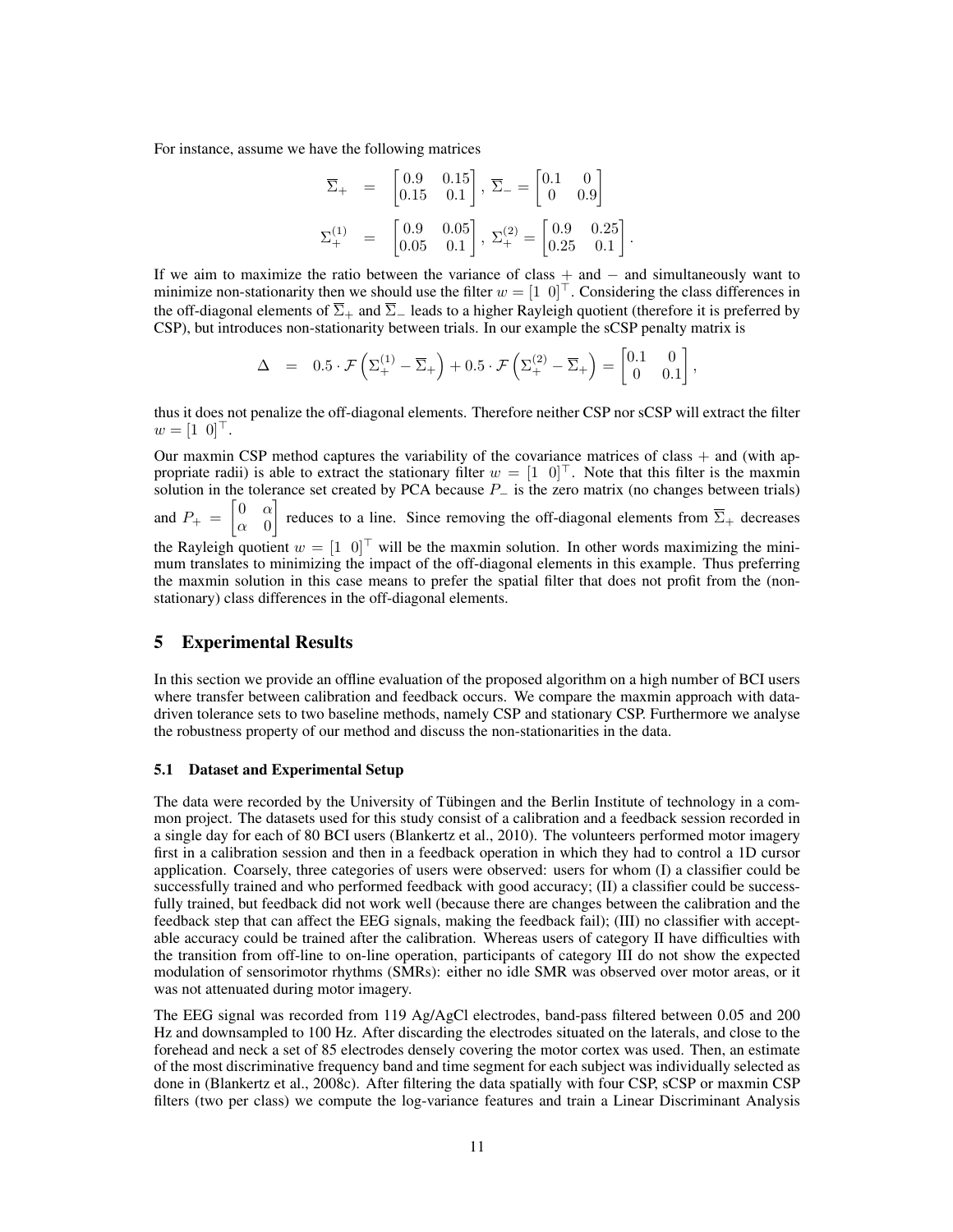For instance, assume we have the following matrices

$$
\overline{\Sigma}_{+} = \begin{bmatrix} 0.9 & 0.15 \\ 0.15 & 0.1 \end{bmatrix}, \overline{\Sigma}_{-} = \begin{bmatrix} 0.1 & 0 \\ 0 & 0.9 \end{bmatrix}
$$

$$
\Sigma_{+}^{(1)} = \begin{bmatrix} 0.9 & 0.05 \\ 0.05 & 0.1 \end{bmatrix}, \Sigma_{+}^{(2)} = \begin{bmatrix} 0.9 & 0.25 \\ 0.25 & 0.1 \end{bmatrix}
$$

.

If we aim to maximize the ratio between the variance of class + and − and simultaneously want to minimize non-stationarity then we should use the filter  $w = \begin{bmatrix} 1 & 0 \end{bmatrix}^T$ . Considering the class differences in the off-diagonal elements of  $\overline{\Sigma}_+$  and  $\overline{\Sigma}_-$  leads to a higher Rayleigh quotient (therefore it is preferred by CSP), but introduces non-stationarity between trials. In our example the sCSP penalty matrix is

$$
\Delta = 0.5 \cdot \mathcal{F}\left(\Sigma_+^{(1)} - \overline{\Sigma}_+\right) + 0.5 \cdot \mathcal{F}\left(\Sigma_+^{(2)} - \overline{\Sigma}_+\right) = \begin{bmatrix} 0.1 & 0 \\ 0 & 0.1 \end{bmatrix},
$$

thus it does not penalize the off-diagonal elements. Therefore neither CSP nor sCSP will extract the filter  $w = [1 \ 0]^{\top}$ .

Our maxmin CSP method captures the variability of the covariance matrices of class  $+$  and (with appropriate radii) is able to extract the stationary filter  $w = \begin{bmatrix} 1 & 0 \end{bmatrix}^\top$ . Note that this filter is the maxmin solution in the tolerance set created by PCA because  $P_$  is the zero matrix (no changes between trials) and  $P_+ = \begin{bmatrix} 0 & \alpha \\ \alpha & 0 \end{bmatrix}$  $\alpha$  0 reduces to a line. Since removing the off-diagonal elements from  $\overline{\Sigma}_{+}$  decreases the Rayleigh quotient  $w = \begin{bmatrix} 1 & 0 \end{bmatrix}^\top$  will be the maxmin solution. In other words maximizing the minimum translates to minimizing the impact of the off-diagonal elements in this example. Thus preferring the maxmin solution in this case means to prefer the spatial filter that does not profit from the (nonstationary) class differences in the off-diagonal elements.

# 5 Experimental Results

In this section we provide an offline evaluation of the proposed algorithm on a high number of BCI users where transfer between calibration and feedback occurs. We compare the maxmin approach with datadriven tolerance sets to two baseline methods, namely CSP and stationary CSP. Furthermore we analyse the robustness property of our method and discuss the non-stationarities in the data.

#### 5.1 Dataset and Experimental Setup

The data were recorded by the University of Tübingen and the Berlin Institute of technology in a common project. The datasets used for this study consist of a calibration and a feedback session recorded in a single day for each of 80 BCI users (Blankertz et al., 2010). The volunteers performed motor imagery first in a calibration session and then in a feedback operation in which they had to control a 1D cursor application. Coarsely, three categories of users were observed: users for whom (I) a classifier could be successfully trained and who performed feedback with good accuracy; (II) a classifier could be successfully trained, but feedback did not work well (because there are changes between the calibration and the feedback step that can affect the EEG signals, making the feedback fail); (III) no classifier with acceptable accuracy could be trained after the calibration. Whereas users of category II have difficulties with the transition from off-line to on-line operation, participants of category III do not show the expected modulation of sensorimotor rhythms (SMRs): either no idle SMR was observed over motor areas, or it was not attenuated during motor imagery.

The EEG signal was recorded from 119 Ag/AgCl electrodes, band-pass filtered between 0.05 and 200 Hz and downsampled to 100 Hz. After discarding the electrodes situated on the laterals, and close to the forehead and neck a set of 85 electrodes densely covering the motor cortex was used. Then, an estimate of the most discriminative frequency band and time segment for each subject was individually selected as done in (Blankertz et al., 2008c). After filtering the data spatially with four CSP, sCSP or maxmin CSP filters (two per class) we compute the log-variance features and train a Linear Discriminant Analysis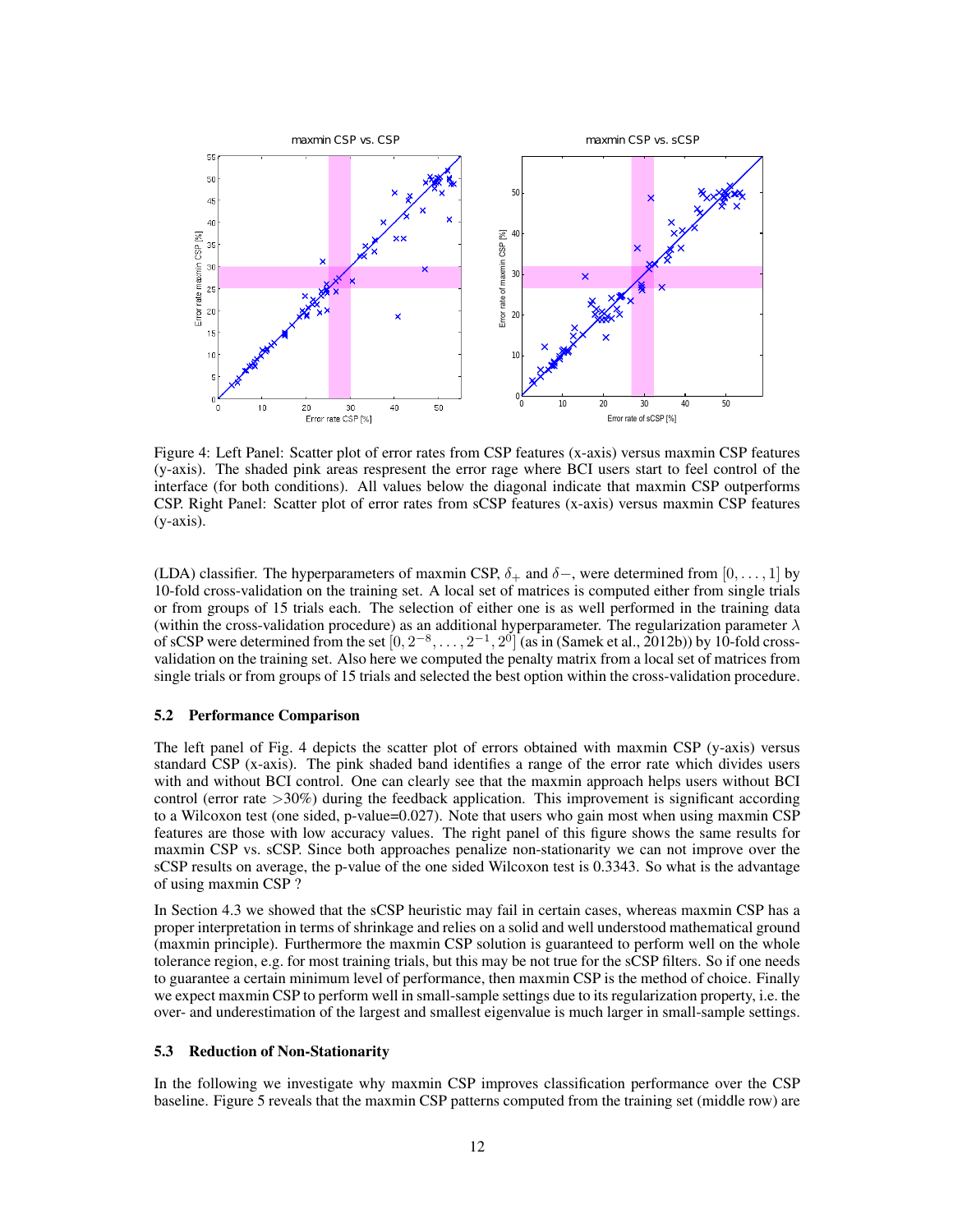

Figure 4: Left Panel: Scatter plot of error rates from CSP features (x-axis) versus maxmin CSP features (y-axis). The shaded pink areas respresent the error rage where BCI users start to feel control of the interface (for both conditions). All values below the diagonal indicate that maxmin CSP outperforms CSP. Right Panel: Scatter plot of error rates from sCSP features (x-axis) versus maxmin CSP features (y-axis).

(LDA) classifier. The hyperparameters of maxmin CSP,  $\delta_+$  and  $\delta_-$ , were determined from [0, ..., 1] by 10-fold cross-validation on the training set. A local set of matrices is computed either from single trials or from groups of 15 trials each. The selection of either one is as well performed in the training data (within the cross-validation procedure) as an additional hyperparameter. The regularization parameter  $\lambda$ of sCSP were determined from the set  $[0, 2^{-8}, \ldots, 2^{-1}, 2^{0}]$  (as in (Samek et al., 2012b)) by 10-fold crossvalidation on the training set. Also here we computed the penalty matrix from a local set of matrices from single trials or from groups of 15 trials and selected the best option within the cross-validation procedure.

#### 5.2 Performance Comparison

The left panel of Fig. 4 depicts the scatter plot of errors obtained with maxmin CSP (y-axis) versus standard CSP (x-axis). The pink shaded band identifies a range of the error rate which divides users with and without BCI control. One can clearly see that the maxmin approach helps users without BCI control (error rate >30%) during the feedback application. This improvement is significant according to a Wilcoxon test (one sided, p-value=0.027). Note that users who gain most when using maxmin CSP features are those with low accuracy values. The right panel of this figure shows the same results for maxmin CSP vs. sCSP. Since both approaches penalize non-stationarity we can not improve over the sCSP results on average, the p-value of the one sided Wilcoxon test is 0.3343. So what is the advantage of using maxmin CSP ?

In Section 4.3 we showed that the sCSP heuristic may fail in certain cases, whereas maxmin CSP has a proper interpretation in terms of shrinkage and relies on a solid and well understood mathematical ground (maxmin principle). Furthermore the maxmin CSP solution is guaranteed to perform well on the whole tolerance region, e.g. for most training trials, but this may be not true for the sCSP filters. So if one needs to guarantee a certain minimum level of performance, then maxmin CSP is the method of choice. Finally we expect maxmin CSP to perform well in small-sample settings due to its regularization property, i.e. the over- and underestimation of the largest and smallest eigenvalue is much larger in small-sample settings.

### 5.3 Reduction of Non-Stationarity

In the following we investigate why maxmin CSP improves classification performance over the CSP baseline. Figure 5 reveals that the maxmin CSP patterns computed from the training set (middle row) are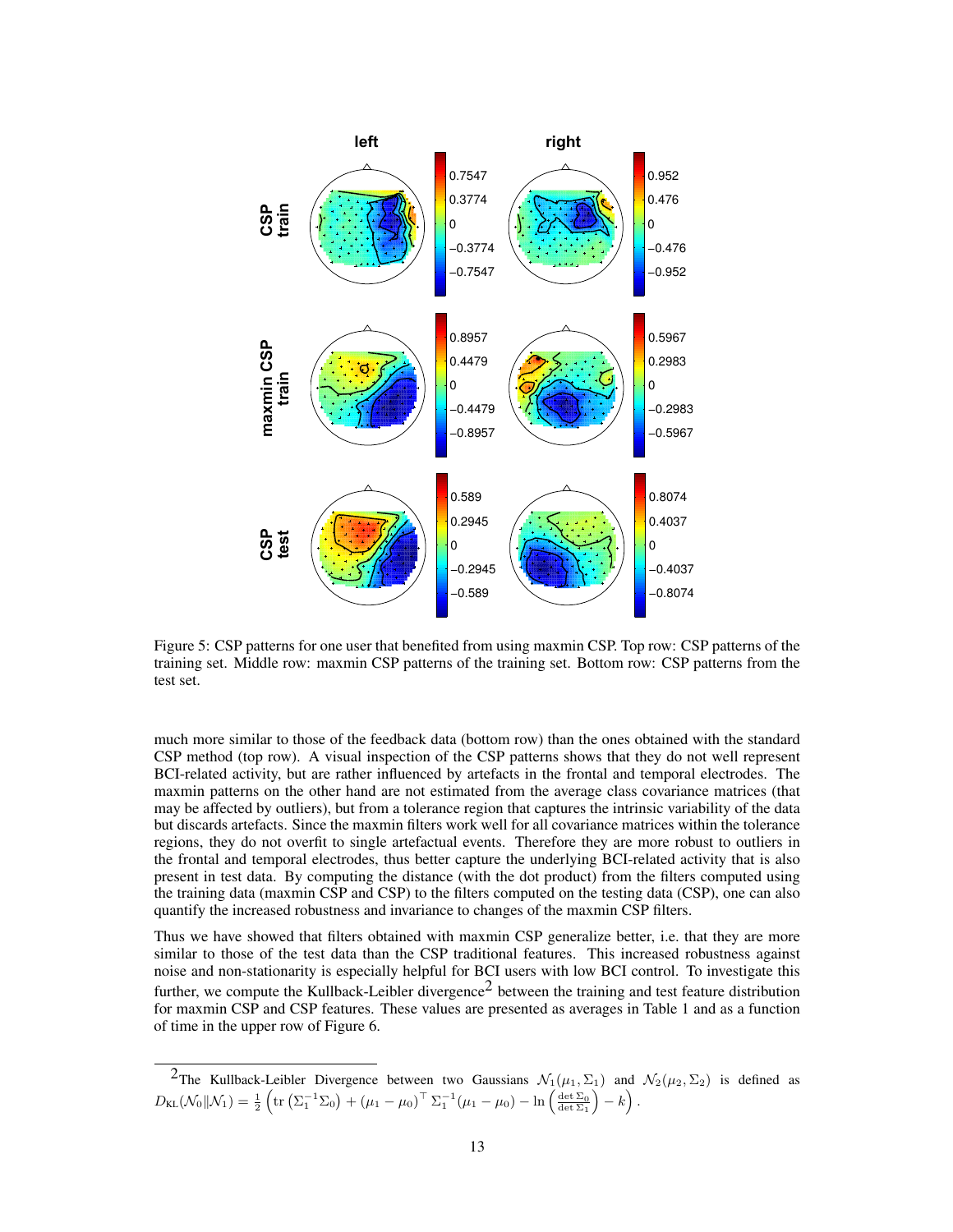

Figure 5: CSP patterns for one user that benefited from using maxmin CSP. Top row: CSP patterns of the training set. Middle row: maxmin CSP patterns of the training set. Bottom row: CSP patterns from the test set.

much more similar to those of the feedback data (bottom row) than the ones obtained with the standard CSP method (top row). A visual inspection of the CSP patterns shows that they do not well represent BCI-related activity, but are rather influenced by artefacts in the frontal and temporal electrodes. The maxmin patterns on the other hand are not estimated from the average class covariance matrices (that may be affected by outliers), but from a tolerance region that captures the intrinsic variability of the data but discards artefacts. Since the maxmin filters work well for all covariance matrices within the tolerance regions, they do not overfit to single artefactual events. Therefore they are more robust to outliers in the frontal and temporal electrodes, thus better capture the underlying BCI-related activity that is also present in test data. By computing the distance (with the dot product) from the filters computed using the training data (maxmin CSP and CSP) to the filters computed on the testing data (CSP), one can also quantify the increased robustness and invariance to changes of the maxmin CSP filters.

Thus we have showed that filters obtained with maxmin CSP generalize better, i.e. that they are more similar to those of the test data than the CSP traditional features. This increased robustness against noise and non-stationarity is especially helpful for BCI users with low BCI control. To investigate this further, we compute the Kullback-Leibler divergence<sup>2</sup> between the training and test feature distribution for maxmin CSP and CSP features. These values are presented as averages in Table 1 and as a function of time in the upper row of Figure 6.

<sup>&</sup>lt;sup>2</sup>The Kullback-Leibler Divergence between two Gaussians  $\mathcal{N}_1(\mu_1, \Sigma_1)$  and  $\mathcal{N}_2(\mu_2, \Sigma_2)$  is defined as  $D_{\text{KL}}(\mathcal{N}_0||\mathcal{N}_1) = \frac{1}{2}\left(\text{tr}\left(\Sigma_1^{-1}\Sigma_0\right) + \left(\mu_1 - \mu_0\right)^\top \Sigma_1^{-1}(\mu_1 - \mu_0) - \ln\left(\frac{\det\Sigma_0}{\det\Sigma_1}\right) - k\right).$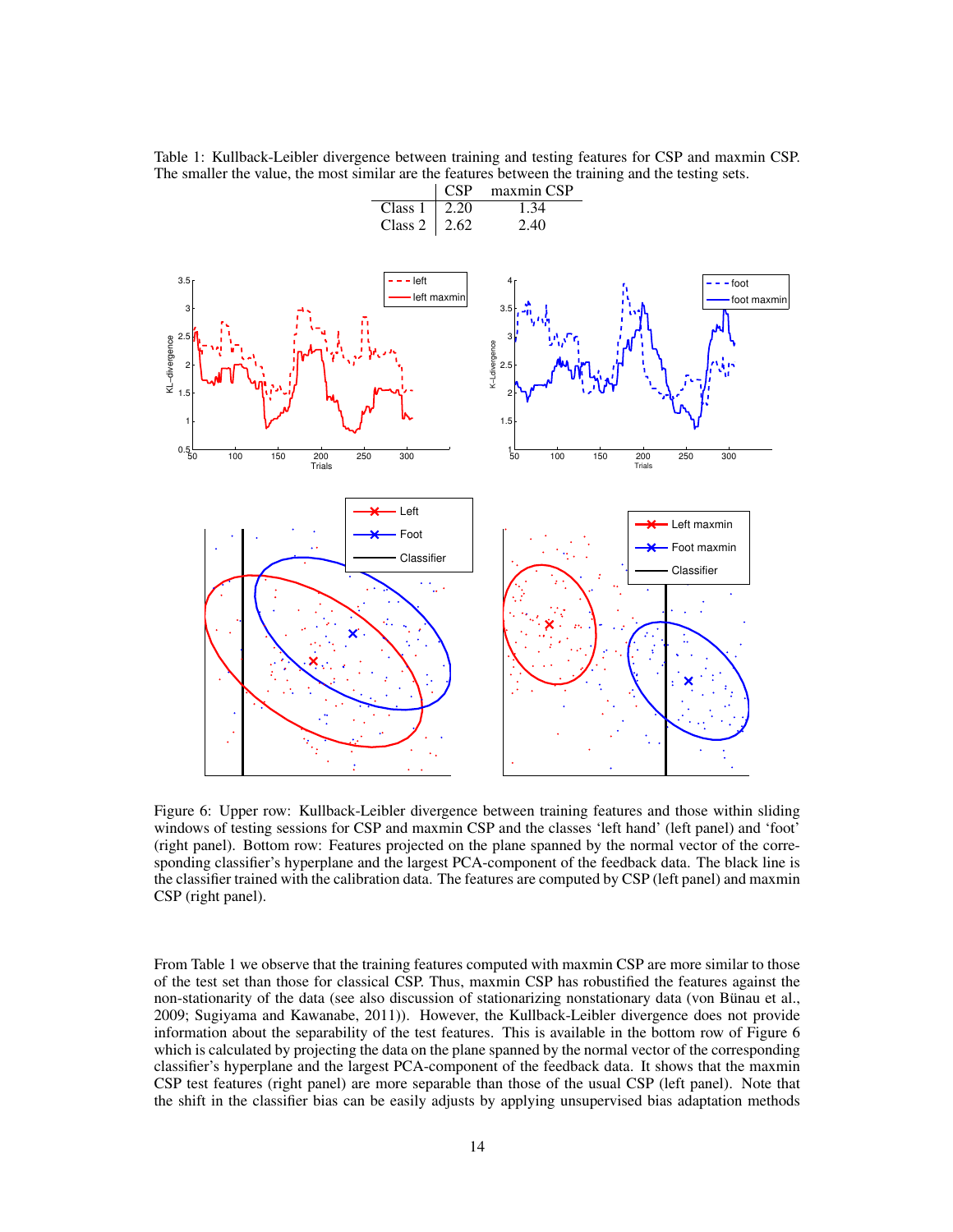Table 1: Kullback-Leibler divergence between training and testing features for CSP and maxmin CSP. The smaller the value, the most similar are the features between the training and the testing sets.



Figure 6: Upper row: Kullback-Leibler divergence between training features and those within sliding windows of testing sessions for CSP and maxmin CSP and the classes 'left hand' (left panel) and 'foot' (right panel). Bottom row: Features projected on the plane spanned by the normal vector of the corresponding classifier's hyperplane and the largest PCA-component of the feedback data. The black line is the classifier trained with the calibration data. The features are computed by CSP (left panel) and maxmin CSP (right panel).

From Table 1 we observe that the training features computed with maxmin CSP are more similar to those of the test set than those for classical CSP. Thus, maxmin CSP has robustified the features against the non-stationarity of the data (see also discussion of stationarizing nonstationary data (von Bünau et al., 2009; Sugiyama and Kawanabe, 2011)). However, the Kullback-Leibler divergence does not provide information about the separability of the test features. This is available in the bottom row of Figure 6 which is calculated by projecting the data on the plane spanned by the normal vector of the corresponding classifier's hyperplane and the largest PCA-component of the feedback data. It shows that the maxmin CSP test features (right panel) are more separable than those of the usual CSP (left panel). Note that the shift in the classifier bias can be easily adjusts by applying unsupervised bias adaptation methods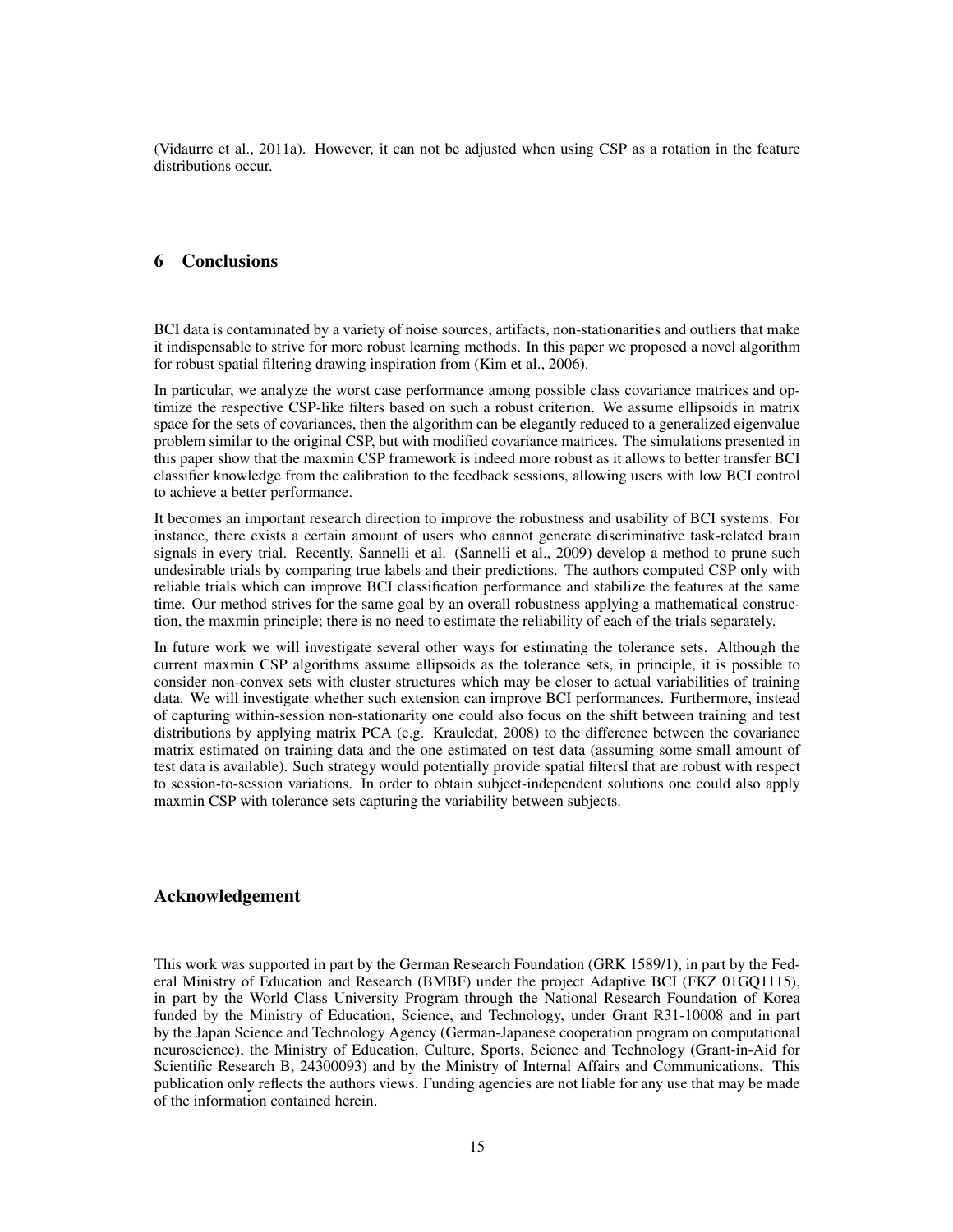(Vidaurre et al., 2011a). However, it can not be adjusted when using CSP as a rotation in the feature distributions occur.

# 6 Conclusions

BCI data is contaminated by a variety of noise sources, artifacts, non-stationarities and outliers that make it indispensable to strive for more robust learning methods. In this paper we proposed a novel algorithm for robust spatial filtering drawing inspiration from (Kim et al., 2006).

In particular, we analyze the worst case performance among possible class covariance matrices and optimize the respective CSP-like filters based on such a robust criterion. We assume ellipsoids in matrix space for the sets of covariances, then the algorithm can be elegantly reduced to a generalized eigenvalue problem similar to the original CSP, but with modified covariance matrices. The simulations presented in this paper show that the maxmin CSP framework is indeed more robust as it allows to better transfer BCI classifier knowledge from the calibration to the feedback sessions, allowing users with low BCI control to achieve a better performance.

It becomes an important research direction to improve the robustness and usability of BCI systems. For instance, there exists a certain amount of users who cannot generate discriminative task-related brain signals in every trial. Recently, Sannelli et al. (Sannelli et al., 2009) develop a method to prune such undesirable trials by comparing true labels and their predictions. The authors computed CSP only with reliable trials which can improve BCI classification performance and stabilize the features at the same time. Our method strives for the same goal by an overall robustness applying a mathematical construction, the maxmin principle; there is no need to estimate the reliability of each of the trials separately.

In future work we will investigate several other ways for estimating the tolerance sets. Although the current maxmin CSP algorithms assume ellipsoids as the tolerance sets, in principle, it is possible to consider non-convex sets with cluster structures which may be closer to actual variabilities of training data. We will investigate whether such extension can improve BCI performances. Furthermore, instead of capturing within-session non-stationarity one could also focus on the shift between training and test distributions by applying matrix PCA (e.g. Krauledat, 2008) to the difference between the covariance matrix estimated on training data and the one estimated on test data (assuming some small amount of test data is available). Such strategy would potentially provide spatial filtersl that are robust with respect to session-to-session variations. In order to obtain subject-independent solutions one could also apply maxmin CSP with tolerance sets capturing the variability between subjects.

# Acknowledgement

This work was supported in part by the German Research Foundation (GRK 1589/1), in part by the Federal Ministry of Education and Research (BMBF) under the project Adaptive BCI (FKZ 01GQ1115), in part by the World Class University Program through the National Research Foundation of Korea funded by the Ministry of Education, Science, and Technology, under Grant R31-10008 and in part by the Japan Science and Technology Agency (German-Japanese cooperation program on computational neuroscience), the Ministry of Education, Culture, Sports, Science and Technology (Grant-in-Aid for Scientific Research B, 24300093) and by the Ministry of Internal Affairs and Communications. This publication only reflects the authors views. Funding agencies are not liable for any use that may be made of the information contained herein.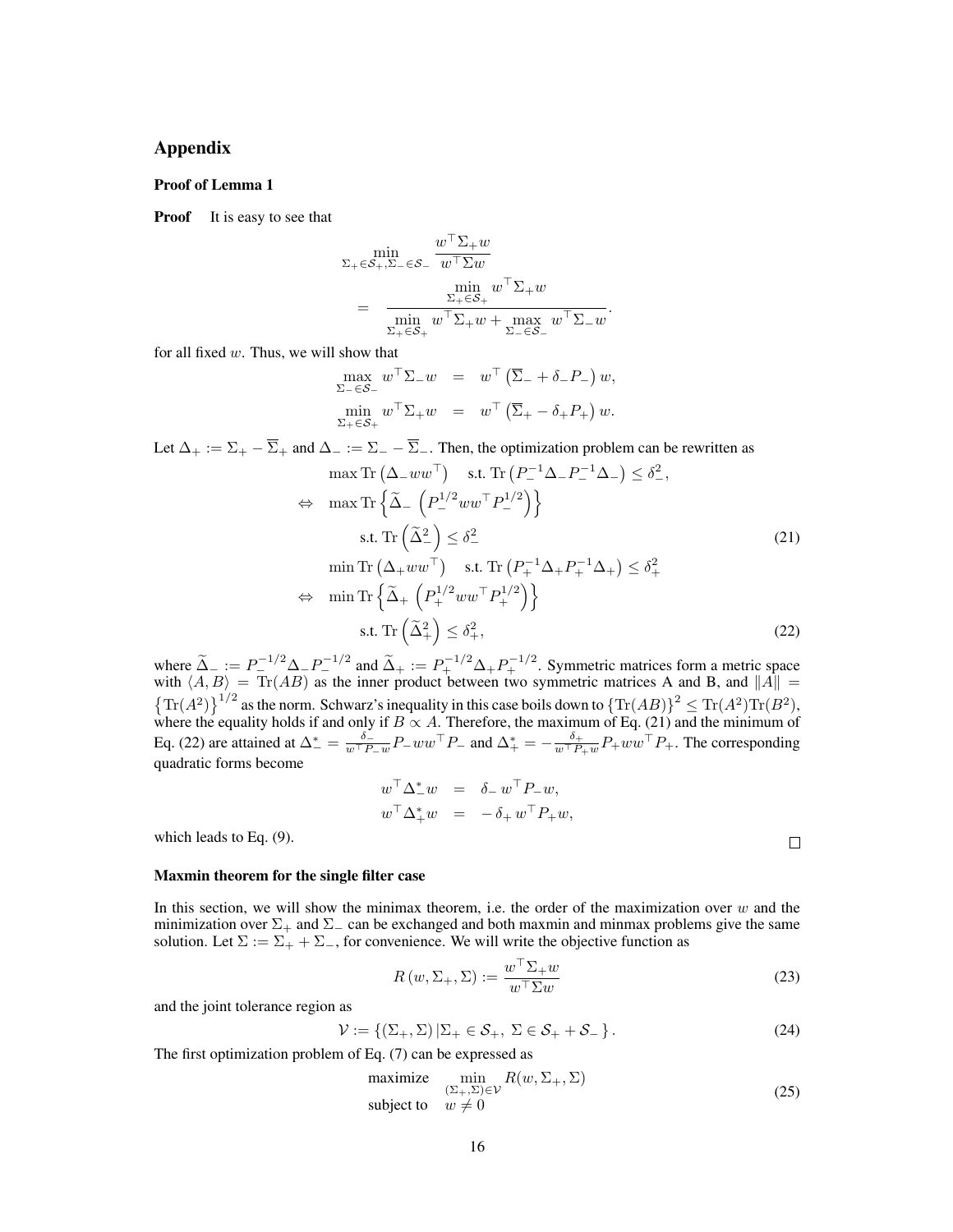# Appendix

#### Proof of Lemma 1

**Proof** It is easy to see that

$$
\sum_{\substack{\Sigma_{+} \in \mathcal{S}_{+}, \Sigma_{-} \in \mathcal{S}_{-} \\ \min \substack{w \top \Sigma w \\ \Sigma_{+} \in \mathcal{S}_{+}}} \frac{w^{\top} \Sigma_{+} w}{w^{\top} \Sigma_{+} w} \\ = \frac{\min \limits_{\substack{\Sigma_{+} \in \mathcal{S}_{+} \\ \Sigma_{-} \in \mathcal{S}_{-}}} w^{\top} \Sigma_{+} w}{\min \limits_{\substack{\Sigma_{+} \in \mathcal{S}_{+} \\ \Sigma_{-} \in \mathcal{S}_{-}}} w^{\top} \Sigma_{-} w}
$$

for all fixed w. Thus, we will show that

$$
\begin{array}{rcl}\n\max_{\Sigma_{-} \in \mathcal{S}_{-}} w^{\top} \Sigma_{-} w & = & w^{\top} \left( \overline{\Sigma}_{-} + \delta_{-} P_{-} \right) w, \\
\min_{\Sigma_{+} \in \mathcal{S}_{+}} w^{\top} \Sigma_{+} w & = & w^{\top} \left( \overline{\Sigma}_{+} - \delta_{+} P_{+} \right) w.\n\end{array}
$$

Let  $\Delta_+ := \Sigma_+ - \overline{\Sigma}_+$  and  $\Delta_- := \Sigma_- - \overline{\Sigma}_-$ . Then, the optimization problem can be rewritten as

$$
\max \operatorname{Tr} (\Delta_{-}ww^{\top}) \quad \text{s.t. } \operatorname{Tr} (P_{-}^{-1} \Delta_{-} P_{-}^{-1} \Delta_{-}) \le \delta_{-}^{2},
$$
\n
$$
\Leftrightarrow \max \operatorname{Tr} \left\{ \widetilde{\Delta}_{-} \left( P_{-}^{1/2}ww^{\top} P_{-}^{1/2} \right) \right\}
$$
\n
$$
\text{s.t. } \operatorname{Tr} (\widetilde{\Delta}_{-}^{2}) \le \delta_{-}^{2}
$$
\n
$$
\min \operatorname{Tr} (\Delta_{+}ww^{\top}) \quad \text{s.t. } \operatorname{Tr} (P_{+}^{-1} \Delta_{+} P_{+}^{-1} \Delta_{+}) \le \delta_{+}^{2}
$$
\n
$$
\Leftrightarrow \min \operatorname{Tr} \left\{ \widetilde{\Delta}_{+} \left( P_{+}^{1/2}ww^{\top} P_{+}^{1/2} \right) \right\}
$$
\n
$$
\text{s.t. } \operatorname{Tr} (\widetilde{\Delta}_{+}^{2}) \le \delta_{+}^{2},
$$
\n(22)

.

where  $\tilde{\Delta}_- := P_+^{-1/2} \Delta_- P_-^{-1/2}$  and  $\tilde{\Delta}_+ := P_+^{-1/2} \Delta_+ P_+^{-1/2}$ . Symmetric matrices form a metric space with  $\langle A, B \rangle = \text{Tr}(AB)$  as the inner product between two symmetric matrices A and B, and  $||A|| =$  $\left\{ \text{Tr}(A^2) \right\}^{1/2}$  as the norm. Schwarz's inequality in this case boils down to  $\left\{ \text{Tr}(AB) \right\}^2 \leq \text{Tr}(A^2) \text{Tr}(B^2)$ , where the equality holds if and only if  $B \propto A$ . Therefore, the maximum of Eq. (21) and the minimum of Eq. (22) are attained at  $\Delta_{-}^{*} = \frac{\delta_{-}}{w^{\top} P_{-} w} P_{-} w w^{\top} P_{-}$  and  $\Delta_{+}^{*} = -\frac{\delta_{+}}{w^{\top} P_{+} w} P_{+} w w^{\top} P_{+}$ . The corresponding quadratic forms become

$$
\begin{array}{rcl} w^\top \Delta_-^* w &=& \delta_- \, w^\top P_- w, \\ w^\top \Delta_+^* w &=& - \delta_+ \, w^\top P_+ w, \end{array}
$$

which leads to Eq. (9).

#### Maxmin theorem for the single filter case

In this section, we will show the minimax theorem, i.e. the order of the maximization over  $w$  and the minimization over  $\Sigma_+$  and  $\Sigma_-$  can be exchanged and both maxmin and minmax problems give the same solution. Let  $\Sigma := \Sigma_+ + \Sigma_-$ , for convenience. We will write the objective function as

$$
R(w, \Sigma_+, \Sigma) := \frac{w^\top \Sigma_+ w}{w^\top \Sigma w} \tag{23}
$$

 $\Box$ 

and the joint tolerance region as

$$
\mathcal{V} := \{ (\Sigma_+, \Sigma) | \Sigma_+ \in \mathcal{S}_+, \Sigma \in \mathcal{S}_+ + \mathcal{S}_- \}.
$$
\n(24)

The first optimization problem of Eq. (7) can be expressed as

$$
\begin{array}{ll}\text{maximize} & \min_{\{\Sigma_+, \Sigma\} \in \mathcal{V}} R(w, \Sigma_+, \Sigma) \\ \text{subject to} & w \neq 0 \end{array} \tag{25}
$$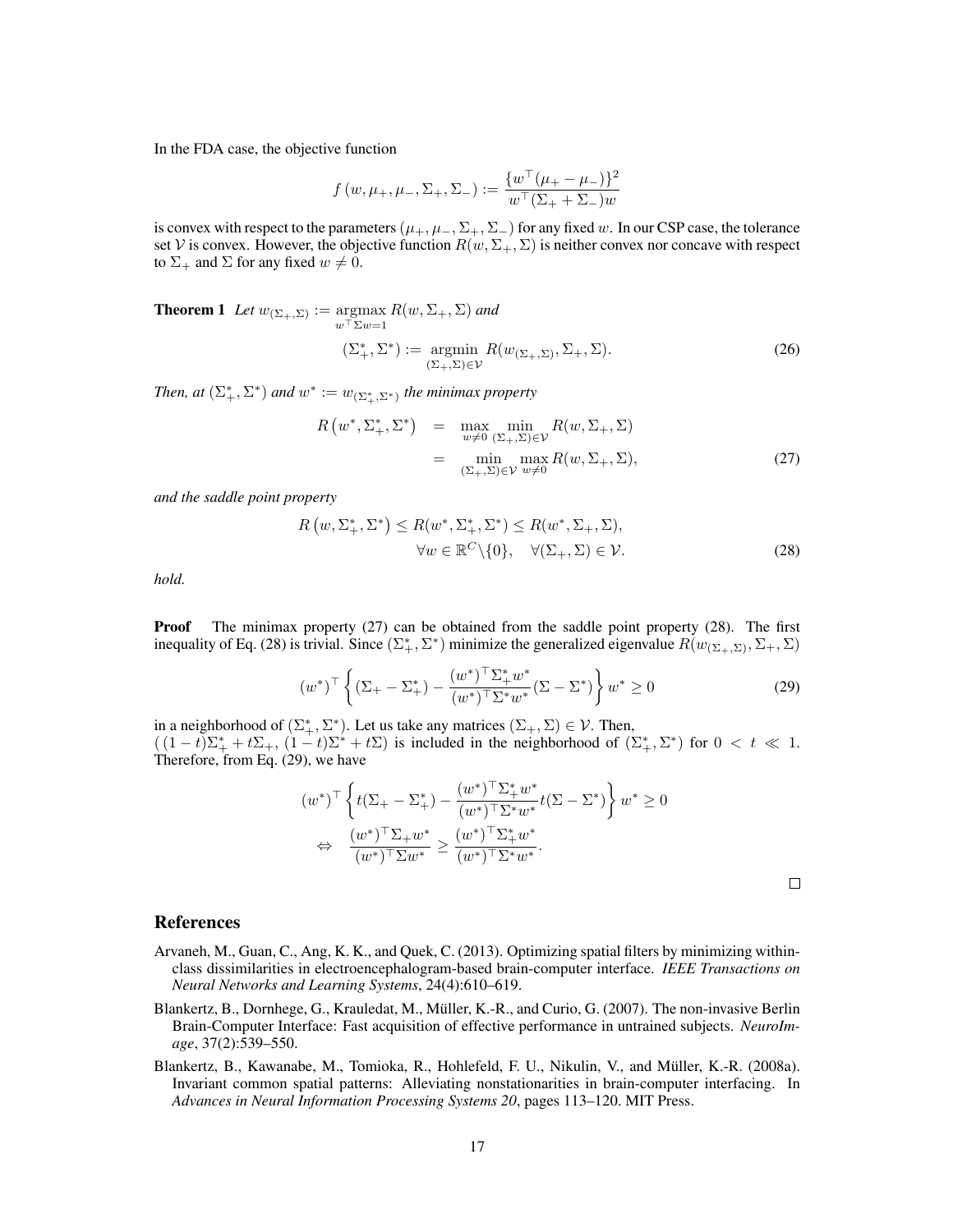In the FDA case, the objective function

$$
f(w, \mu_+, \mu_-, \Sigma_+, \Sigma_-) := \frac{\{w^\top(\mu_+ - \mu_-)\}^2}{w^\top(\Sigma_+ + \Sigma_-)w}
$$

is convex with respect to the parameters ( $\mu_+$ ,  $\mu_-$ ,  $\Sigma_+$ ,  $\Sigma_-$ ) for any fixed w. In our CSP case, the tolerance set V is convex. However, the objective function  $R(w, \Sigma_{+}, \Sigma)$  is neither convex nor concave with respect to  $\Sigma_+$  and  $\Sigma$  for any fixed  $w \neq 0$ .

**Theorem 1** Let  $w_{(\Sigma_+,\Sigma)} := \arg \max R(w, \Sigma_+, \Sigma)$  and  $w^{\top} \Sigma w=1$ 

$$
(\Sigma^*_+,\Sigma^*) := \underset{(\Sigma_+,\Sigma) \in \mathcal{V}}{\operatorname{argmin}} R(w_{(\Sigma_+,\Sigma)},\Sigma_+,\Sigma). \tag{26}
$$

*Then, at*  $(\Sigma_{+}^{*}, \Sigma^{*})$  *and*  $w^{*} := w_{(\Sigma_{+}^{*}, \Sigma^{*})}$  *the minimax property* 

$$
R(w^*, \Sigma^*_+, \Sigma^*) = \max_{w \neq 0} \min_{(\Sigma_+, \Sigma) \in \mathcal{V}} R(w, \Sigma_+, \Sigma)
$$
  
= 
$$
\min_{(\Sigma_+, \Sigma) \in \mathcal{V}} \max_{w \neq 0} R(w, \Sigma_+, \Sigma),
$$
 (27)

*and the saddle point property*

$$
R(w, \Sigma_{+}^{*}, \Sigma^{*}) \le R(w^{*}, \Sigma_{+}^{*}, \Sigma^{*}) \le R(w^{*}, \Sigma_{+}, \Sigma),
$$
  

$$
\forall w \in \mathbb{R}^{C} \setminus \{0\}, \quad \forall (\Sigma_{+}, \Sigma) \in \mathcal{V}.
$$
 (28)

*hold.*

**Proof** The minimax property (27) can be obtained from the saddle point property (28). The first inequality of Eq. (28) is trivial. Since  $(\Sigma_+^*, \Sigma^*)$  minimize the generalized eigenvalue  $R(w_{(\Sigma_+, \Sigma)}, \Sigma_+, \Sigma)$ 

$$
(w^*)^{\top} \left\{ (\Sigma_+ - \Sigma_+^*) - \frac{(w^*)^{\top} \Sigma_+^* w^*}{(w^*)^{\top} \Sigma^* w^*} (\Sigma - \Sigma^*) \right\} w^* \ge 0 \tag{29}
$$

in a neighborhood of  $(\Sigma_{+}^*, \Sigma^*)$ . Let us take any matrices  $(\Sigma_{+}, \Sigma) \in \mathcal{V}$ . Then,  $((1-t)\Sigma_{+}^*+t\Sigma_{+}, (1-t)\Sigma^*+t\Sigma)$  is included in the neighborhood of  $(\Sigma_{+}^*, \Sigma^*)$  for  $0 < t \ll 1$ . Therefore, from Eq. (29), we have

$$
(w^*)^{\top} \left\{ t(\Sigma_+ - \Sigma_+^*) - \frac{(w^*)^{\top} \Sigma_+^* w^*}{(w^*)^{\top} \Sigma^* w^*} t(\Sigma - \Sigma^*) \right\} w^* \ge 0
$$
  

$$
\Leftrightarrow \frac{(w^*)^{\top} \Sigma_+ w^*}{(w^*)^{\top} \Sigma w^*} \ge \frac{(w^*)^{\top} \Sigma_+^* w^*}{(w^*)^{\top} \Sigma^* w^*}.
$$

 $\Box$ 

# References

- Arvaneh, M., Guan, C., Ang, K. K., and Quek, C. (2013). Optimizing spatial filters by minimizing withinclass dissimilarities in electroencephalogram-based brain-computer interface. *IEEE Transactions on Neural Networks and Learning Systems*, 24(4):610–619.
- Blankertz, B., Dornhege, G., Krauledat, M., Muller, K.-R., and Curio, G. (2007). The non-invasive Berlin ¨ Brain-Computer Interface: Fast acquisition of effective performance in untrained subjects. *NeuroImage*, 37(2):539–550.
- Blankertz, B., Kawanabe, M., Tomioka, R., Hohlefeld, F. U., Nikulin, V., and Muller, K.-R. (2008a). ¨ Invariant common spatial patterns: Alleviating nonstationarities in brain-computer interfacing. In *Advances in Neural Information Processing Systems 20*, pages 113–120. MIT Press.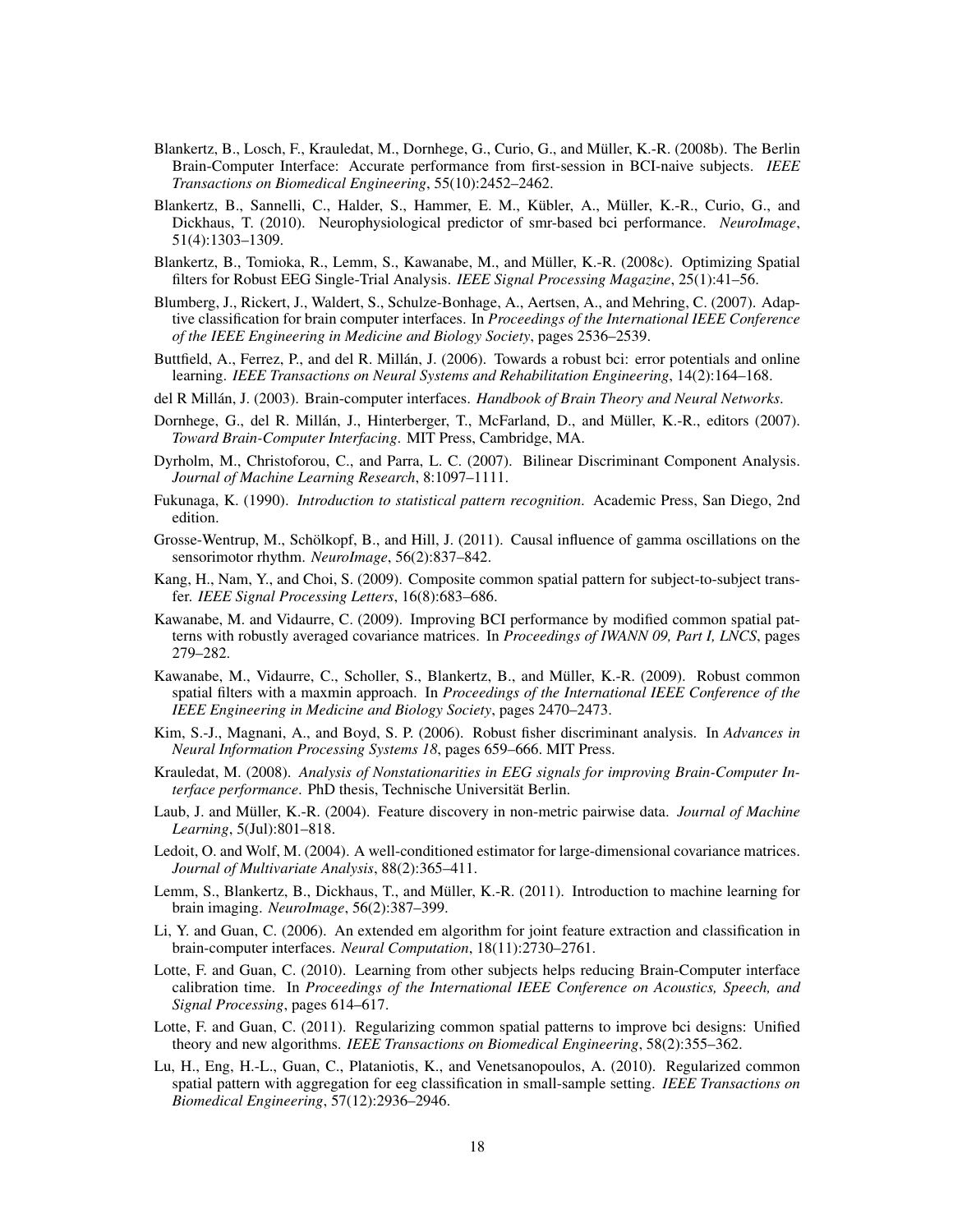- Blankertz, B., Losch, F., Krauledat, M., Dornhege, G., Curio, G., and Muller, K.-R. (2008b). The Berlin ¨ Brain-Computer Interface: Accurate performance from first-session in BCI-naive subjects. *IEEE Transactions on Biomedical Engineering*, 55(10):2452–2462.
- Blankertz, B., Sannelli, C., Halder, S., Hammer, E. M., Kübler, A., Müller, K.-R., Curio, G., and Dickhaus, T. (2010). Neurophysiological predictor of smr-based bci performance. *NeuroImage*, 51(4):1303–1309.
- Blankertz, B., Tomioka, R., Lemm, S., Kawanabe, M., and Muller, K.-R. (2008c). Optimizing Spatial ¨ filters for Robust EEG Single-Trial Analysis. *IEEE Signal Processing Magazine*, 25(1):41–56.
- Blumberg, J., Rickert, J., Waldert, S., Schulze-Bonhage, A., Aertsen, A., and Mehring, C. (2007). Adaptive classification for brain computer interfaces. In *Proceedings of the International IEEE Conference of the IEEE Engineering in Medicine and Biology Society*, pages 2536–2539.
- Buttfield, A., Ferrez, P., and del R. Millán, J. (2006). Towards a robust bci: error potentials and online learning. *IEEE Transactions on Neural Systems and Rehabilitation Engineering*, 14(2):164–168.
- del R Millán, J. (2003). Brain-computer interfaces. *Handbook of Brain Theory and Neural Networks*.
- Dornhege, G., del R. Millán, J., Hinterberger, T., McFarland, D., and Müller, K.-R., editors (2007). *Toward Brain-Computer Interfacing*. MIT Press, Cambridge, MA.
- Dyrholm, M., Christoforou, C., and Parra, L. C. (2007). Bilinear Discriminant Component Analysis. *Journal of Machine Learning Research*, 8:1097–1111.
- Fukunaga, K. (1990). *Introduction to statistical pattern recognition*. Academic Press, San Diego, 2nd edition.
- Grosse-Wentrup, M., Schölkopf, B., and Hill, J. (2011). Causal influence of gamma oscillations on the sensorimotor rhythm. *NeuroImage*, 56(2):837–842.
- Kang, H., Nam, Y., and Choi, S. (2009). Composite common spatial pattern for subject-to-subject transfer. *IEEE Signal Processing Letters*, 16(8):683–686.
- Kawanabe, M. and Vidaurre, C. (2009). Improving BCI performance by modified common spatial patterns with robustly averaged covariance matrices. In *Proceedings of IWANN 09, Part I, LNCS*, pages 279–282.
- Kawanabe, M., Vidaurre, C., Scholler, S., Blankertz, B., and Müller, K.-R. (2009). Robust common spatial filters with a maxmin approach. In *Proceedings of the International IEEE Conference of the IEEE Engineering in Medicine and Biology Society*, pages 2470–2473.
- Kim, S.-J., Magnani, A., and Boyd, S. P. (2006). Robust fisher discriminant analysis. In *Advances in Neural Information Processing Systems 18*, pages 659–666. MIT Press.
- Krauledat, M. (2008). *Analysis of Nonstationarities in EEG signals for improving Brain-Computer Interface performance*. PhD thesis, Technische Universität Berlin.
- Laub, J. and Müller, K.-R. (2004). Feature discovery in non-metric pairwise data. *Journal of Machine Learning*, 5(Jul):801–818.
- Ledoit, O. and Wolf, M. (2004). A well-conditioned estimator for large-dimensional covariance matrices. *Journal of Multivariate Analysis*, 88(2):365–411.
- Lemm, S., Blankertz, B., Dickhaus, T., and Müller, K.-R. (2011). Introduction to machine learning for brain imaging. *NeuroImage*, 56(2):387–399.
- Li, Y. and Guan, C. (2006). An extended em algorithm for joint feature extraction and classification in brain-computer interfaces. *Neural Computation*, 18(11):2730–2761.
- Lotte, F. and Guan, C. (2010). Learning from other subjects helps reducing Brain-Computer interface calibration time. In *Proceedings of the International IEEE Conference on Acoustics, Speech, and Signal Processing*, pages 614–617.
- Lotte, F. and Guan, C. (2011). Regularizing common spatial patterns to improve bci designs: Unified theory and new algorithms. *IEEE Transactions on Biomedical Engineering*, 58(2):355–362.
- Lu, H., Eng, H.-L., Guan, C., Plataniotis, K., and Venetsanopoulos, A. (2010). Regularized common spatial pattern with aggregation for eeg classification in small-sample setting. *IEEE Transactions on Biomedical Engineering*, 57(12):2936–2946.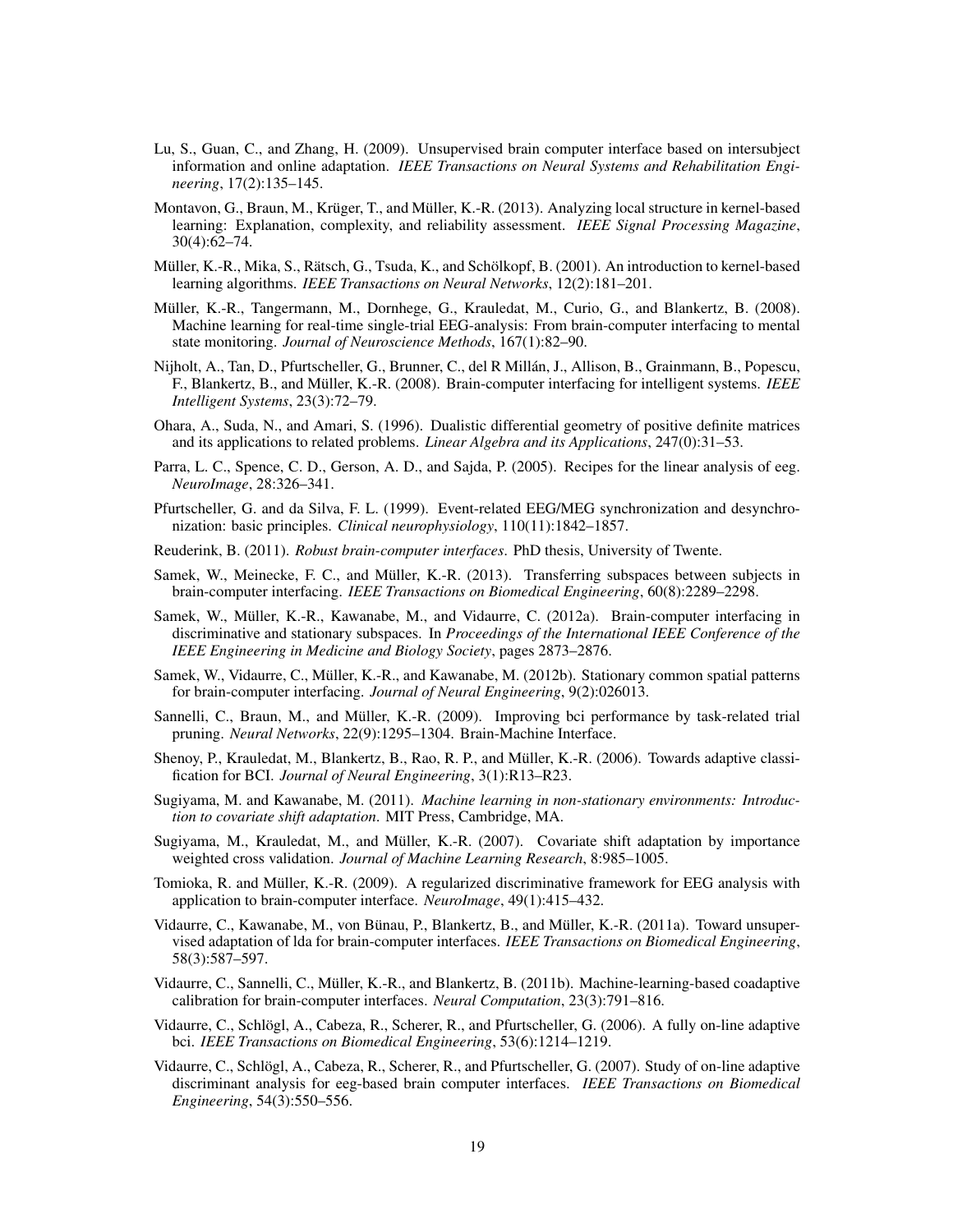- Lu, S., Guan, C., and Zhang, H. (2009). Unsupervised brain computer interface based on intersubject information and online adaptation. *IEEE Transactions on Neural Systems and Rehabilitation Engineering*, 17(2):135–145.
- Montavon, G., Braun, M., Krüger, T., and Müller, K.-R. (2013). Analyzing local structure in kernel-based learning: Explanation, complexity, and reliability assessment. *IEEE Signal Processing Magazine*, 30(4):62–74.
- Müller, K.-R., Mika, S., Rätsch, G., Tsuda, K., and Schölkopf, B. (2001). An introduction to kernel-based learning algorithms. *IEEE Transactions on Neural Networks*, 12(2):181–201.
- Müller, K.-R., Tangermann, M., Dornhege, G., Krauledat, M., Curio, G., and Blankertz, B. (2008). Machine learning for real-time single-trial EEG-analysis: From brain-computer interfacing to mental state monitoring. *Journal of Neuroscience Methods*, 167(1):82–90.
- Nijholt, A., Tan, D., Pfurtscheller, G., Brunner, C., del R Millan, J., Allison, B., Grainmann, B., Popescu, ´ F., Blankertz, B., and Müller, K.-R. (2008). Brain-computer interfacing for intelligent systems. *IEEE Intelligent Systems*, 23(3):72–79.
- Ohara, A., Suda, N., and Amari, S. (1996). Dualistic differential geometry of positive definite matrices and its applications to related problems. *Linear Algebra and its Applications*, 247(0):31–53.
- Parra, L. C., Spence, C. D., Gerson, A. D., and Sajda, P. (2005). Recipes for the linear analysis of eeg. *NeuroImage*, 28:326–341.
- Pfurtscheller, G. and da Silva, F. L. (1999). Event-related EEG/MEG synchronization and desynchronization: basic principles. *Clinical neurophysiology*, 110(11):1842–1857.
- Reuderink, B. (2011). *Robust brain-computer interfaces*. PhD thesis, University of Twente.
- Samek, W., Meinecke, F. C., and Müller, K.-R. (2013). Transferring subspaces between subjects in brain-computer interfacing. *IEEE Transactions on Biomedical Engineering*, 60(8):2289–2298.
- Samek, W., Müller, K.-R., Kawanabe, M., and Vidaurre, C. (2012a). Brain-computer interfacing in discriminative and stationary subspaces. In *Proceedings of the International IEEE Conference of the IEEE Engineering in Medicine and Biology Society*, pages 2873–2876.
- Samek, W., Vidaurre, C., Müller, K.-R., and Kawanabe, M. (2012b). Stationary common spatial patterns for brain-computer interfacing. *Journal of Neural Engineering*, 9(2):026013.
- Sannelli, C., Braun, M., and Müller, K.-R. (2009). Improving bci performance by task-related trial pruning. *Neural Networks*, 22(9):1295–1304. Brain-Machine Interface.
- Shenoy, P., Krauledat, M., Blankertz, B., Rao, R. P., and Muller, K.-R. (2006). Towards adaptive classi- ¨ fication for BCI. *Journal of Neural Engineering*, 3(1):R13–R23.
- Sugiyama, M. and Kawanabe, M. (2011). *Machine learning in non-stationary environments: Introduction to covariate shift adaptation*. MIT Press, Cambridge, MA.
- Sugiyama, M., Krauledat, M., and Müller, K.-R. (2007). Covariate shift adaptation by importance weighted cross validation. *Journal of Machine Learning Research*, 8:985–1005.
- Tomioka, R. and Muller, K.-R. (2009). A regularized discriminative framework for EEG analysis with ¨ application to brain-computer interface. *NeuroImage*, 49(1):415–432.
- Vidaurre, C., Kawanabe, M., von Bünau, P., Blankertz, B., and Müller, K.-R. (2011a). Toward unsupervised adaptation of lda for brain-computer interfaces. *IEEE Transactions on Biomedical Engineering*, 58(3):587–597.
- Vidaurre, C., Sannelli, C., Muller, K.-R., and Blankertz, B. (2011b). Machine-learning-based coadaptive ¨ calibration for brain-computer interfaces. *Neural Computation*, 23(3):791–816.
- Vidaurre, C., Schlogl, A., Cabeza, R., Scherer, R., and Pfurtscheller, G. (2006). A fully on-line adaptive ¨ bci. *IEEE Transactions on Biomedical Engineering*, 53(6):1214–1219.
- Vidaurre, C., Schlogl, A., Cabeza, R., Scherer, R., and Pfurtscheller, G. (2007). Study of on-line adaptive ¨ discriminant analysis for eeg-based brain computer interfaces. *IEEE Transactions on Biomedical Engineering*, 54(3):550–556.